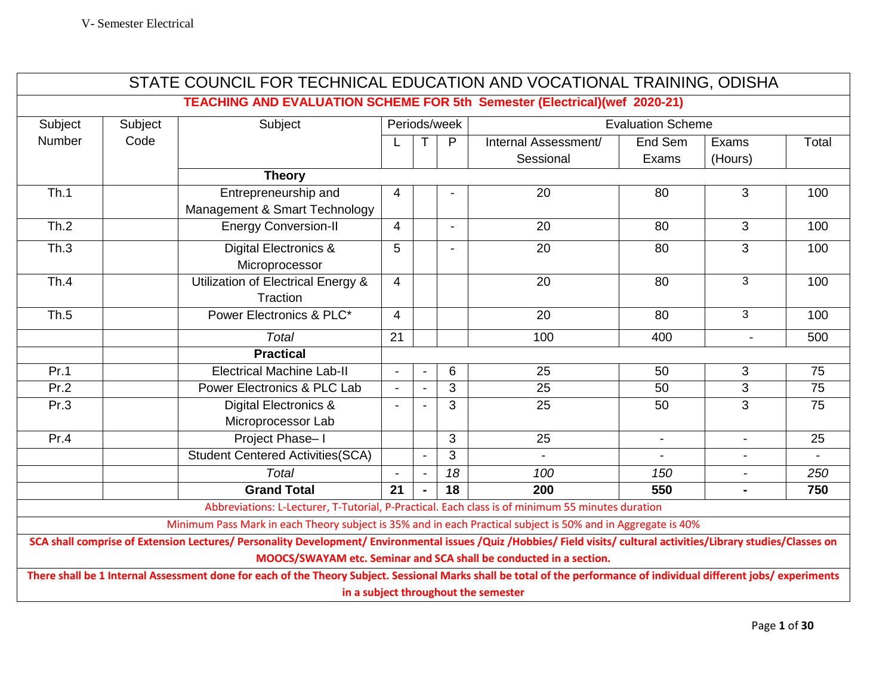| STATE COUNCIL FOR TECHNICAL EDUCATION AND VOCATIONAL TRAINING, ODISHA                                                                                                                                                                      |                                                                                                                                                                      |                                                                                                              |                                          |                          |                |                      |                 |                          |                 |
|--------------------------------------------------------------------------------------------------------------------------------------------------------------------------------------------------------------------------------------------|----------------------------------------------------------------------------------------------------------------------------------------------------------------------|--------------------------------------------------------------------------------------------------------------|------------------------------------------|--------------------------|----------------|----------------------|-----------------|--------------------------|-----------------|
| <b>TEACHING AND EVALUATION SCHEME FOR 5th Semester (Electrical)(wef 2020-21)</b>                                                                                                                                                           |                                                                                                                                                                      |                                                                                                              |                                          |                          |                |                      |                 |                          |                 |
| Subject                                                                                                                                                                                                                                    | Subject                                                                                                                                                              | Subject                                                                                                      | Periods/week<br><b>Evaluation Scheme</b> |                          |                |                      |                 |                          |                 |
| Number                                                                                                                                                                                                                                     | Code                                                                                                                                                                 |                                                                                                              |                                          |                          | P              | Internal Assessment/ | End Sem         | Exams                    | Total           |
|                                                                                                                                                                                                                                            |                                                                                                                                                                      |                                                                                                              |                                          |                          |                | Sessional            | Exams           | (Hours)                  |                 |
|                                                                                                                                                                                                                                            |                                                                                                                                                                      | <b>Theory</b>                                                                                                |                                          |                          |                |                      |                 |                          |                 |
| Th.1                                                                                                                                                                                                                                       |                                                                                                                                                                      | Entrepreneurship and<br>Management & Smart Technology                                                        | 4                                        |                          |                | 20                   | 80              | 3                        | 100             |
| Th.2                                                                                                                                                                                                                                       |                                                                                                                                                                      | <b>Energy Conversion-II</b>                                                                                  | $\overline{4}$                           |                          | $\blacksquare$ | $\overline{20}$      | $\overline{80}$ | $\overline{3}$           | 100             |
| Th.3                                                                                                                                                                                                                                       |                                                                                                                                                                      | <b>Digital Electronics &amp;</b><br>Microprocessor                                                           | 5                                        |                          | $\blacksquare$ | 20                   | 80              | 3                        | 100             |
| Th.4                                                                                                                                                                                                                                       |                                                                                                                                                                      | Utilization of Electrical Energy &<br>Traction                                                               | $\overline{4}$                           |                          |                | 20                   | 80              | 3                        | 100             |
| Th.5                                                                                                                                                                                                                                       |                                                                                                                                                                      | Power Electronics & PLC*                                                                                     | $\overline{4}$                           |                          |                | 20                   | 80              | 3                        | 100             |
|                                                                                                                                                                                                                                            |                                                                                                                                                                      | <b>Total</b>                                                                                                 | 21                                       |                          |                | 100                  | 400             | $\blacksquare$           | 500             |
|                                                                                                                                                                                                                                            |                                                                                                                                                                      | <b>Practical</b>                                                                                             |                                          |                          |                |                      |                 |                          |                 |
| Pr.1                                                                                                                                                                                                                                       |                                                                                                                                                                      | <b>Electrical Machine Lab-II</b>                                                                             | $\blacksquare$                           |                          | 6              | 25                   | 50              | 3                        | 75              |
| Pr.2                                                                                                                                                                                                                                       |                                                                                                                                                                      | Power Electronics & PLC Lab                                                                                  | $\Delta$                                 | $\overline{a}$           | 3              | 25                   | 50              | 3                        | $\overline{75}$ |
| Pr.3                                                                                                                                                                                                                                       |                                                                                                                                                                      | <b>Digital Electronics &amp;</b><br>Microprocessor Lab                                                       |                                          |                          | 3              | 25                   | 50              | 3                        | 75              |
| Pr.4                                                                                                                                                                                                                                       |                                                                                                                                                                      | Project Phase-I                                                                                              |                                          |                          | 3              | 25                   | $\sim$          | $\sim$                   | 25              |
|                                                                                                                                                                                                                                            |                                                                                                                                                                      | <b>Student Centered Activities (SCA)</b>                                                                     |                                          | $\blacksquare$           | $\overline{3}$ |                      |                 | $\blacksquare$           |                 |
|                                                                                                                                                                                                                                            |                                                                                                                                                                      | <b>Total</b>                                                                                                 | $\overline{\phantom{a}}$                 | $\overline{\phantom{a}}$ | 18             | 100                  | 150             | $\overline{\phantom{a}}$ | 250             |
|                                                                                                                                                                                                                                            |                                                                                                                                                                      | <b>Grand Total</b>                                                                                           | 21                                       |                          | 18             | 200                  | 550             |                          | 750             |
|                                                                                                                                                                                                                                            |                                                                                                                                                                      | Abbreviations: L-Lecturer, T-Tutorial, P-Practical. Each class is of minimum 55 minutes duration             |                                          |                          |                |                      |                 |                          |                 |
|                                                                                                                                                                                                                                            |                                                                                                                                                                      | Minimum Pass Mark in each Theory subject is 35% and in each Practical subject is 50% and in Aggregate is 40% |                                          |                          |                |                      |                 |                          |                 |
| SCA shall comprise of Extension Lectures/ Personality Development/ Environmental issues /Quiz /Hobbies/ Field visits/ cultural activities/Library studies/Classes on<br>MOOCS/SWAYAM etc. Seminar and SCA shall be conducted in a section. |                                                                                                                                                                      |                                                                                                              |                                          |                          |                |                      |                 |                          |                 |
|                                                                                                                                                                                                                                            | There shall be 1 Internal Assessment done for each of the Theory Subject. Sessional Marks shall be total of the performance of individual different jobs/experiments |                                                                                                              |                                          |                          |                |                      |                 |                          |                 |
| in a subject throughout the semester                                                                                                                                                                                                       |                                                                                                                                                                      |                                                                                                              |                                          |                          |                |                      |                 |                          |                 |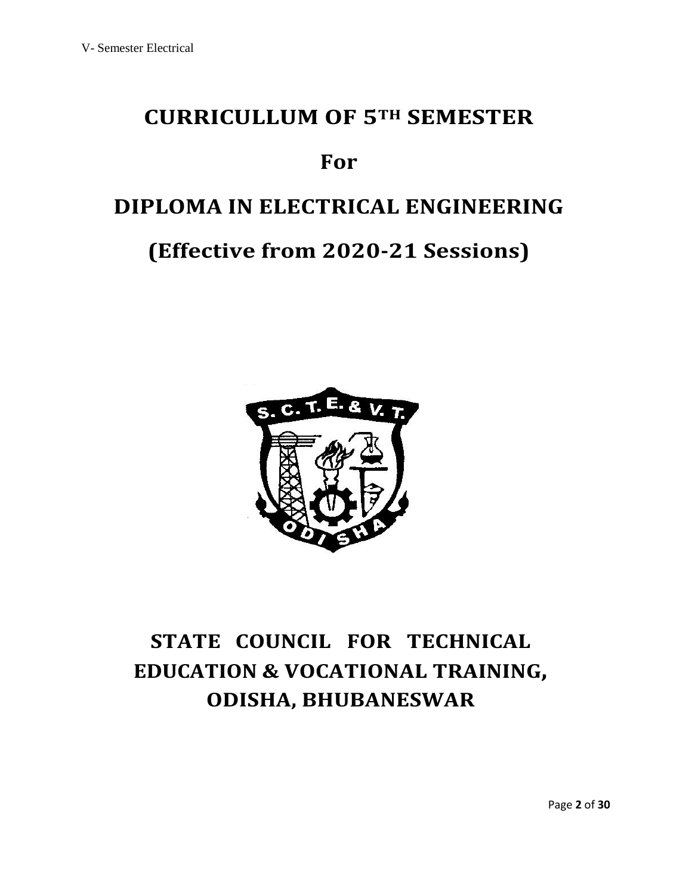# **CURRICULLUM OF 5TH SEMESTER**

# **For**

# **DIPLOMA IN ELECTRICAL ENGINEERING**

# **(Effective from 2020-21 Sessions)**



# **STATE COUNCIL FOR TECHNICAL EDUCATION & VOCATIONAL TRAINING, ODISHA, BHUBANESWAR**

Page **2** of **30**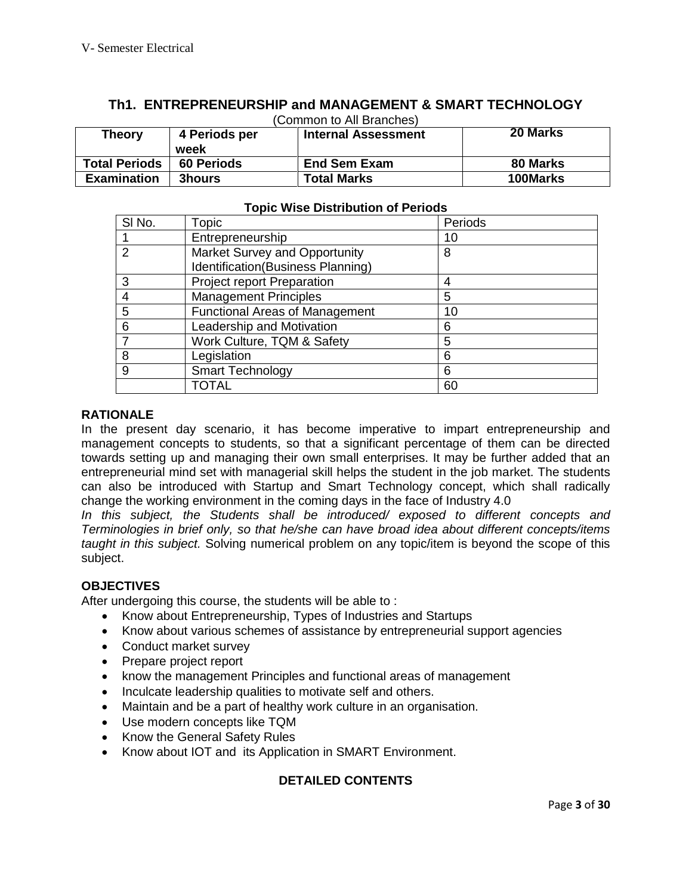| (Common to All Branches) |                   |                            |                 |  |
|--------------------------|-------------------|----------------------------|-----------------|--|
| <b>Theory</b>            | 4 Periods per     | <b>Internal Assessment</b> | <b>20 Marks</b> |  |
|                          | week              |                            |                 |  |
| <b>Total Periods</b>     | <b>60 Periods</b> | <b>End Sem Exam</b>        | 80 Marks        |  |
| <b>Examination</b>       | <b>3hours</b>     | <b>Total Marks</b>         | 100Marks        |  |

# **Th1. ENTREPRENEURSHIP and MANAGEMENT & SMART TECHNOLOGY**

|        |       | <b>Topic Wise Distribution of Periods</b> |         |  |
|--------|-------|-------------------------------------------|---------|--|
| SI No. | Topic |                                           | Periods |  |
|        |       |                                           |         |  |

| I ODIC                                | Perious |
|---------------------------------------|---------|
| Entrepreneurship                      | 10      |
| Market Survey and Opportunity         | 8       |
| Identification(Business Planning)     |         |
| <b>Project report Preparation</b>     |         |
| <b>Management Principles</b>          | 5       |
| <b>Functional Areas of Management</b> | 10      |
| Leadership and Motivation             | 6       |
| Work Culture, TQM & Safety            | 5       |
| Legislation                           | 6       |
| <b>Smart Technology</b>               | 6       |
| TOTAL                                 | 60      |
|                                       |         |

# **RATIONALE**

In the present day scenario, it has become imperative to impart entrepreneurship and management concepts to students, so that a significant percentage of them can be directed towards setting up and managing their own small enterprises. It may be further added that an entrepreneurial mind set with managerial skill helps the student in the job market. The students can also be introduced with Startup and Smart Technology concept, which shall radically change the working environment in the coming days in the face of Industry 4.0

*In this subject, the Students shall be introduced/ exposed to different concepts and Terminologies in brief only, so that he/she can have broad idea about different concepts/items taught in this subject.* Solving numerical problem on any topic/item is beyond the scope of this subject.

# **OBJECTIVES**

After undergoing this course, the students will be able to :

- Know about Entrepreneurship, Types of Industries and Startups
- Know about various schemes of assistance by entrepreneurial support agencies
- Conduct market survey
- Prepare project report
- know the management Principles and functional areas of management
- Inculcate leadership qualities to motivate self and others.
- Maintain and be a part of healthy work culture in an organisation.
- Use modern concepts like TQM
- Know the General Safety Rules
- Know about IOT and its Application in SMART Environment.

# **DETAILED CONTENTS**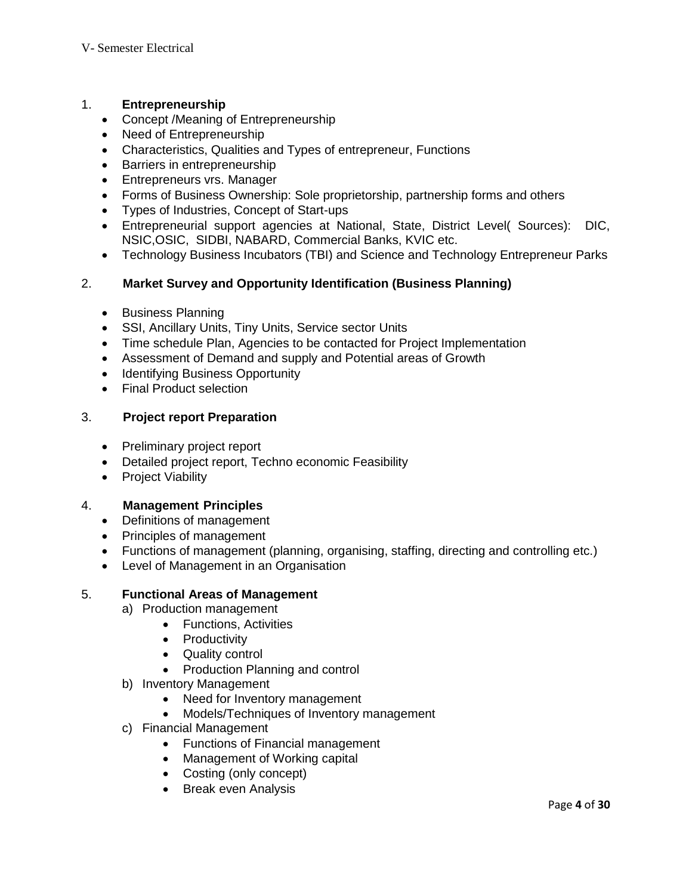### 1. **Entrepreneurship**

- Concept /Meaning of Entrepreneurship
- Need of Entrepreneurship
- Characteristics, Qualities and Types of entrepreneur, Functions
- Barriers in entrepreneurship
- **Entrepreneurs vrs. Manager**
- Forms of Business Ownership: Sole proprietorship, partnership forms and others
- Types of Industries, Concept of Start-ups
- Entrepreneurial support agencies at National, State, District Level( Sources): DIC, NSIC,OSIC, SIDBI, NABARD, Commercial Banks, KVIC etc.
- Technology Business Incubators (TBI) and Science and Technology Entrepreneur Parks

# 2. **Market Survey and Opportunity Identification (Business Planning)**

- Business Planning
- SSI, Ancillary Units, Tiny Units, Service sector Units
- Time schedule Plan, Agencies to be contacted for Project Implementation
- Assessment of Demand and supply and Potential areas of Growth
- Identifying Business Opportunity
- Final Product selection

# 3. **Project report Preparation**

- Preliminary project report
- Detailed project report, Techno economic Feasibility
- Project Viability

### 4. **Management Principles**

- Definitions of management
- Principles of management
- Functions of management (planning, organising, staffing, directing and controlling etc.)
- Level of Management in an Organisation

### 5. **Functional Areas of Management**

- a) Production management
	- Functions, Activities
	- Productivity
	- Quality control
	- Production Planning and control
- b) Inventory Management
	- Need for Inventory management
	- Models/Techniques of Inventory management
- c) Financial Management
	- Functions of Financial management
	- Management of Working capital
	- Costing (only concept)
	- Break even Analysis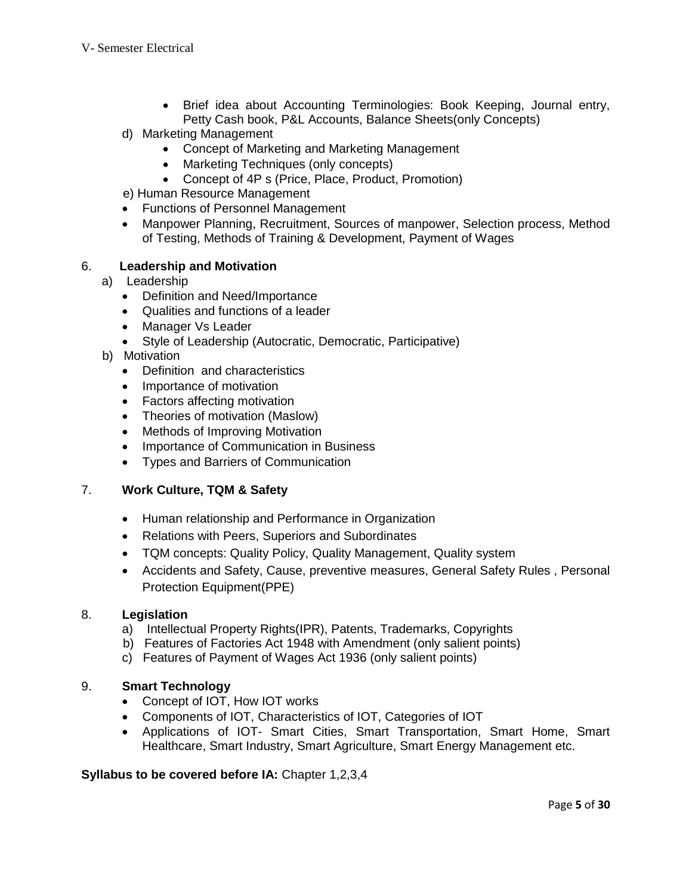- Brief idea about Accounting Terminologies: Book Keeping, Journal entry, Petty Cash book, P&L Accounts, Balance Sheets(only Concepts)
- d) Marketing Management
	- Concept of Marketing and Marketing Management
	- Marketing Techniques (only concepts)
	- Concept of 4P s (Price, Place, Product, Promotion)
- e) Human Resource Management
- Functions of Personnel Management
- Manpower Planning, Recruitment, Sources of manpower, Selection process, Method of Testing, Methods of Training & Development, Payment of Wages

### 6. **Leadership and Motivation**

- a) Leadership
	- Definition and Need/Importance
	- Qualities and functions of a leader
	- Manager Vs Leader
	- Style of Leadership (Autocratic, Democratic, Participative)
- b) Motivation
	- Definition and characteristics
	- Importance of motivation
	- Factors affecting motivation
	- Theories of motivation (Maslow)
	- Methods of Improving Motivation
	- Importance of Communication in Business
	- Types and Barriers of Communication

### 7. **Work Culture, TQM & Safety**

- Human relationship and Performance in Organization
- Relations with Peers, Superiors and Subordinates
- TQM concepts: Quality Policy, Quality Management, Quality system
- Accidents and Safety, Cause, preventive measures, General Safety Rules , Personal Protection Equipment(PPE)

### 8. **Legislation**

- a) Intellectual Property Rights(IPR), Patents, Trademarks, Copyrights
- b) Features of Factories Act 1948 with Amendment (only salient points)
- c) Features of Payment of Wages Act 1936 (only salient points)

### 9. **Smart Technology**

- Concept of IOT, How IOT works
- Components of IOT, Characteristics of IOT, Categories of IOT
- Applications of IOT- Smart Cities, Smart Transportation, Smart Home, Smart Healthcare, Smart Industry, Smart Agriculture, Smart Energy Management etc.

### **Syllabus to be covered before IA:** Chapter 1,2,3,4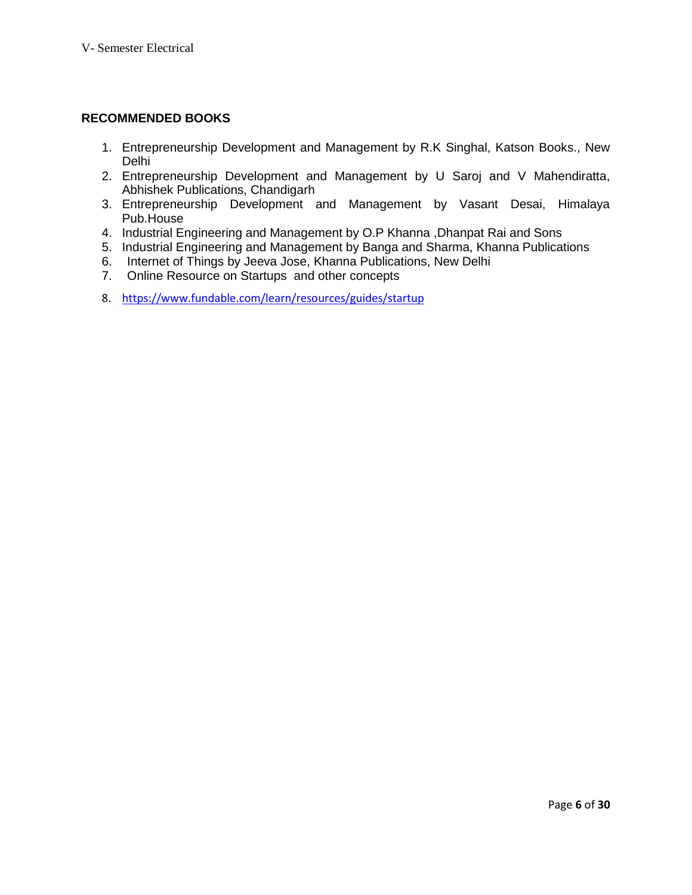# **RECOMMENDED BOOKS**

- 1. Entrepreneurship Development and Management by R.K Singhal, Katson Books., New Delhi
- 2. Entrepreneurship Development and Management by U Saroj and V Mahendiratta, Abhishek Publications, Chandigarh
- 3. Entrepreneurship Development and Management by Vasant Desai, Himalaya Pub.House
- 4. Industrial Engineering and Management by O.P Khanna ,Dhanpat Rai and Sons
- 5. Industrial Engineering and Management by Banga and Sharma, Khanna Publications
- 6. Internet of Things by Jeeva Jose, Khanna Publications, New Delhi
- 7. Online Resource on Startups and other concepts
- 8. <https://www.fundable.com/learn/resources/guides/startup>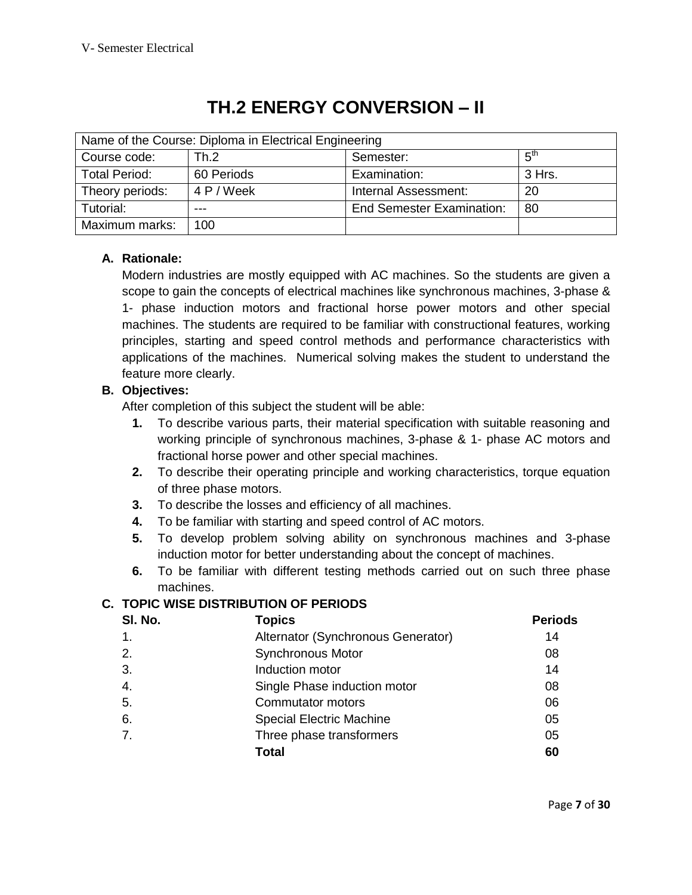| Name of the Course: Diploma in Electrical Engineering |            |                                  |                 |  |  |
|-------------------------------------------------------|------------|----------------------------------|-----------------|--|--|
| Course code:                                          | Th.2       | Semester:                        | 5 <sup>th</sup> |  |  |
| <b>Total Period:</b>                                  | 60 Periods | Examination:                     | 3 Hrs.          |  |  |
| Theory periods:                                       | 4 P / Week | Internal Assessment:             | 20              |  |  |
| Tutorial:                                             |            | <b>End Semester Examination:</b> | -80             |  |  |
| Maximum marks:                                        | 100        |                                  |                 |  |  |

# **TH.2 ENERGY CONVERSION – II**

# **A. Rationale:**

Modern industries are mostly equipped with AC machines. So the students are given a scope to gain the concepts of electrical machines like synchronous machines, 3-phase & 1- phase induction motors and fractional horse power motors and other special machines. The students are required to be familiar with constructional features, working principles, starting and speed control methods and performance characteristics with applications of the machines. Numerical solving makes the student to understand the feature more clearly.

# **B. Objectives:**

After completion of this subject the student will be able:

- **1.** To describe various parts, their material specification with suitable reasoning and working principle of synchronous machines, 3-phase & 1- phase AC motors and fractional horse power and other special machines.
- **2.** To describe their operating principle and working characteristics, torque equation of three phase motors.
- **3.** To describe the losses and efficiency of all machines.
- **4.** To be familiar with starting and speed control of AC motors.
- **5.** To develop problem solving ability on synchronous machines and 3-phase induction motor for better understanding about the concept of machines.
- **6.** To be familiar with different testing methods carried out on such three phase machines.

# **C. TOPIC WISE DISTRIBUTION OF PERIODS**

| SI. No.        | <b>Topics</b>                      | <b>Periods</b> |
|----------------|------------------------------------|----------------|
| $\mathbf{1}$ . | Alternator (Synchronous Generator) | 14             |
| 2.             | <b>Synchronous Motor</b>           | 08             |
| 3.             | Induction motor                    | 14             |
| 4.             | Single Phase induction motor       | 08             |
| 5.             | Commutator motors                  | 06             |
| 6.             | <b>Special Electric Machine</b>    | 05             |
| 7.             | Three phase transformers           | 05             |
|                | Total                              | 60             |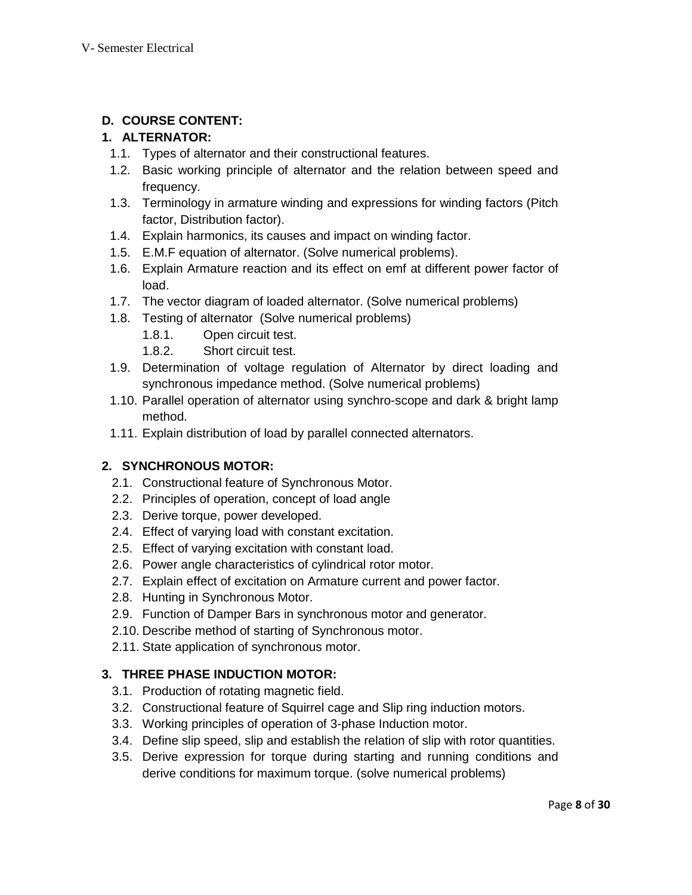# **D. COURSE CONTENT:**

# **1. ALTERNATOR:**

- 1.1. Types of alternator and their constructional features.
- 1.2. Basic working principle of alternator and the relation between speed and frequency.
- 1.3. Terminology in armature winding and expressions for winding factors (Pitch factor, Distribution factor).
- 1.4. Explain harmonics, its causes and impact on winding factor.
- 1.5. E.M.F equation of alternator. (Solve numerical problems).
- 1.6. Explain Armature reaction and its effect on emf at different power factor of load.
- 1.7. The vector diagram of loaded alternator. (Solve numerical problems)
- 1.8. Testing of alternator (Solve numerical problems)
	- 1.8.1. Open circuit test.
	- 1.8.2. Short circuit test.
- 1.9. Determination of voltage regulation of Alternator by direct loading and synchronous impedance method. (Solve numerical problems)
- 1.10. Parallel operation of alternator using synchro-scope and dark & bright lamp method.
- 1.11. Explain distribution of load by parallel connected alternators.

# **2. SYNCHRONOUS MOTOR:**

- 2.1. Constructional feature of Synchronous Motor.
- 2.2. Principles of operation, concept of load angle
- 2.3. Derive torque, power developed.
- 2.4. Effect of varying load with constant excitation.
- 2.5. Effect of varying excitation with constant load.
- 2.6. Power angle characteristics of cylindrical rotor motor.
- 2.7. Explain effect of excitation on Armature current and power factor.
- 2.8. Hunting in Synchronous Motor.
- 2.9. Function of Damper Bars in synchronous motor and generator.
- 2.10. Describe method of starting of Synchronous motor.
- 2.11. State application of synchronous motor.

# **3. THREE PHASE INDUCTION MOTOR:**

- 3.1. Production of rotating magnetic field.
- 3.2. Constructional feature of Squirrel cage and Slip ring induction motors.
- 3.3. Working principles of operation of 3-phase Induction motor.
- 3.4. Define slip speed, slip and establish the relation of slip with rotor quantities.
- 3.5. Derive expression for torque during starting and running conditions and derive conditions for maximum torque. (solve numerical problems)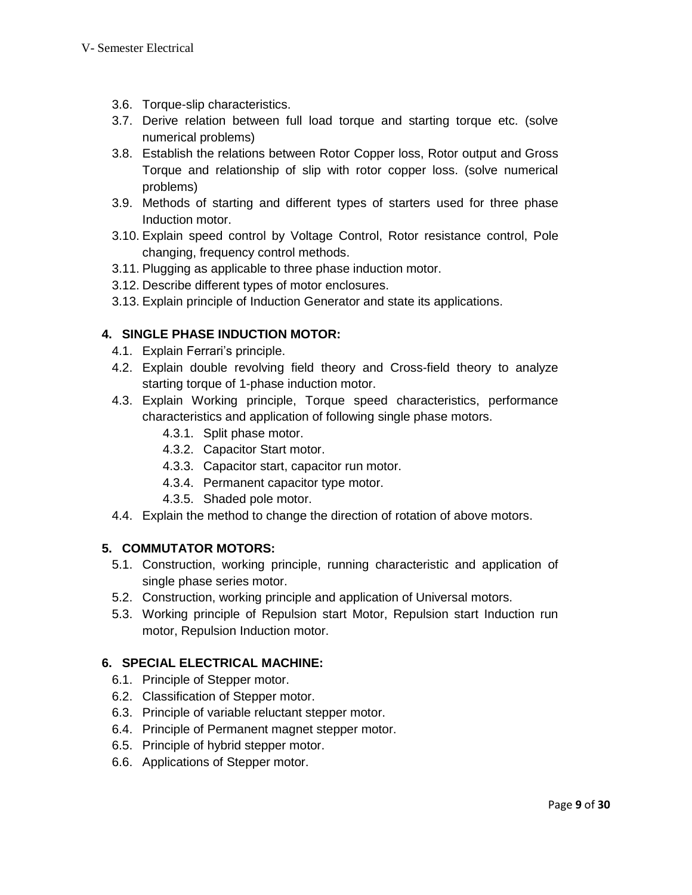- 3.6. Torque-slip characteristics.
- 3.7. Derive relation between full load torque and starting torque etc. (solve numerical problems)
- 3.8. Establish the relations between Rotor Copper loss, Rotor output and Gross Torque and relationship of slip with rotor copper loss. (solve numerical problems)
- 3.9. Methods of starting and different types of starters used for three phase Induction motor.
- 3.10. Explain speed control by Voltage Control, Rotor resistance control, Pole changing, frequency control methods.
- 3.11. Plugging as applicable to three phase induction motor.
- 3.12. Describe different types of motor enclosures.
- 3.13. Explain principle of Induction Generator and state its applications.

# **4. SINGLE PHASE INDUCTION MOTOR:**

- 4.1. Explain Ferrari's principle.
- 4.2. Explain double revolving field theory and Cross-field theory to analyze starting torque of 1-phase induction motor.
- 4.3. Explain Working principle, Torque speed characteristics, performance characteristics and application of following single phase motors.
	- 4.3.1. Split phase motor.
	- 4.3.2. Capacitor Start motor.
	- 4.3.3. Capacitor start, capacitor run motor.
	- 4.3.4. Permanent capacitor type motor.
	- 4.3.5. Shaded pole motor.
- 4.4. Explain the method to change the direction of rotation of above motors.

# **5. COMMUTATOR MOTORS:**

- 5.1. Construction, working principle, running characteristic and application of single phase series motor.
- 5.2. Construction, working principle and application of Universal motors.
- 5.3. Working principle of Repulsion start Motor, Repulsion start Induction run motor, Repulsion Induction motor.

### **6. SPECIAL ELECTRICAL MACHINE:**

- 6.1. Principle of Stepper motor.
- 6.2. Classification of Stepper motor.
- 6.3. Principle of variable reluctant stepper motor.
- 6.4. Principle of Permanent magnet stepper motor.
- 6.5. Principle of hybrid stepper motor.
- 6.6. Applications of Stepper motor.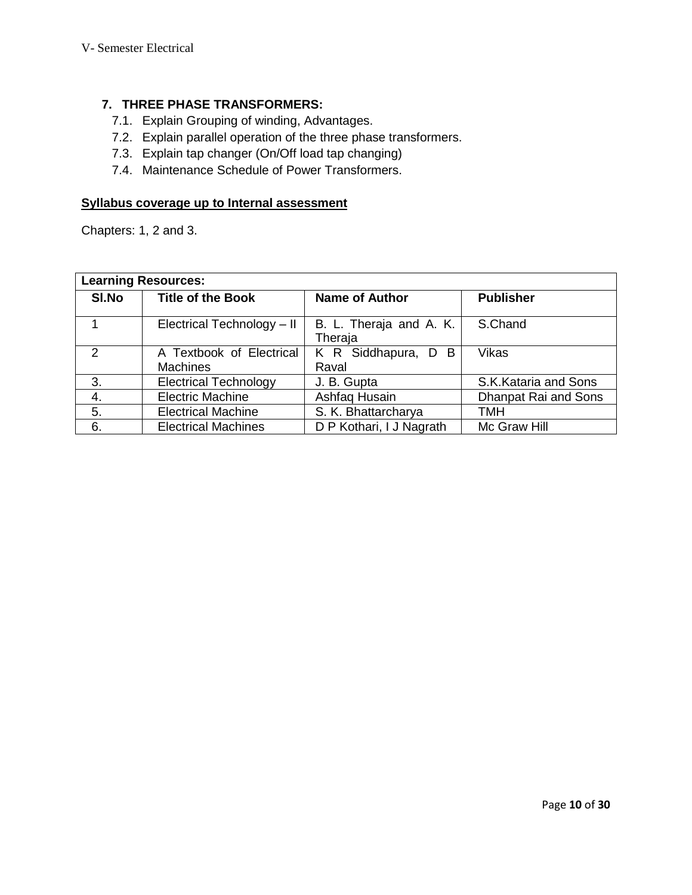# **7. THREE PHASE TRANSFORMERS:**

- 7.1. Explain Grouping of winding, Advantages.
- 7.2. Explain parallel operation of the three phase transformers.
- 7.3. Explain tap changer (On/Off load tap changing)
- 7.4. Maintenance Schedule of Power Transformers.

# **Syllabus coverage up to Internal assessment**

Chapters: 1, 2 and 3.

| <b>Learning Resources:</b> |                              |                                    |                      |  |
|----------------------------|------------------------------|------------------------------------|----------------------|--|
| SI.No                      | <b>Title of the Book</b>     | <b>Name of Author</b>              | <b>Publisher</b>     |  |
|                            | Electrical Technology - II   | B. L. Theraja and A. K.<br>Theraja | S.Chand              |  |
| $\mathcal{P}$              | A Textbook of Electrical     | K R Siddhapura, D B                | Vikas                |  |
|                            | <b>Machines</b>              | Raval                              |                      |  |
| 3.                         | <b>Electrical Technology</b> | J. B. Gupta                        | S.K.Kataria and Sons |  |
| 4.                         | <b>Electric Machine</b>      | Ashfaq Husain                      | Dhanpat Rai and Sons |  |
| 5.                         | <b>Electrical Machine</b>    | S. K. Bhattarcharya                | TMH                  |  |
| 6.                         | <b>Electrical Machines</b>   | D P Kothari, I J Nagrath           | Mc Graw Hill         |  |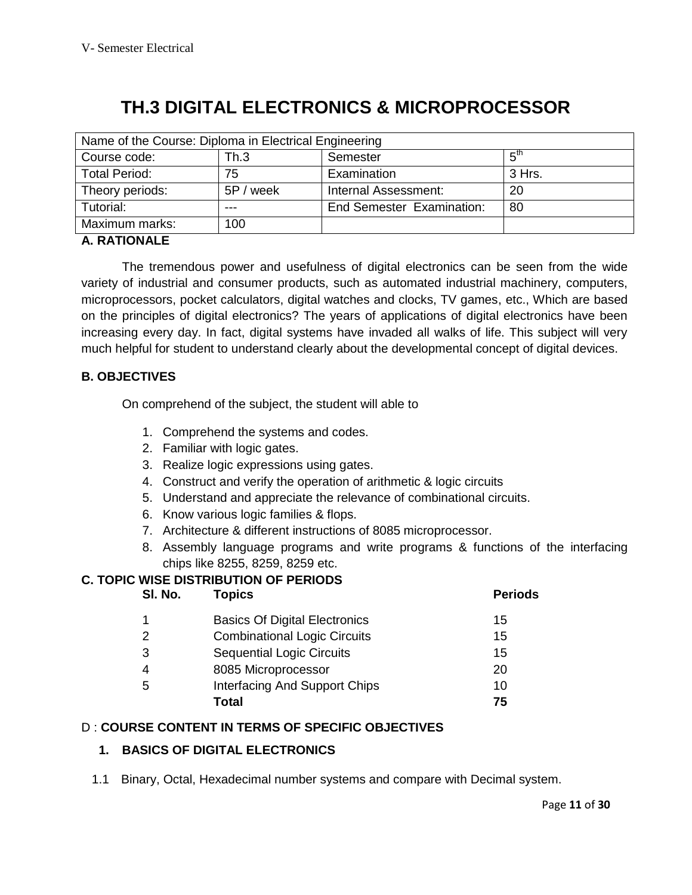# **TH.3 DIGITAL ELECTRONICS & MICROPROCESSOR**

| Name of the Course: Diploma in Electrical Engineering |           |                                  |                 |  |
|-------------------------------------------------------|-----------|----------------------------------|-----------------|--|
| Course code:                                          | Th.3      | Semester                         | 5 <sup>th</sup> |  |
| <b>Total Period:</b>                                  | 75        | Examination                      | 3 Hrs.          |  |
| Theory periods:                                       | 5P / week | Internal Assessment:             | 20              |  |
| Tutorial:                                             |           | <b>End Semester Examination:</b> | 80              |  |
| Maximum marks:                                        | 100       |                                  |                 |  |

# **A. RATIONALE**

The tremendous power and usefulness of digital electronics can be seen from the wide variety of industrial and consumer products, such as automated industrial machinery, computers, microprocessors, pocket calculators, digital watches and clocks, TV games, etc., Which are based on the principles of digital electronics? The years of applications of digital electronics have been increasing every day. In fact, digital systems have invaded all walks of life. This subject will very much helpful for student to understand clearly about the developmental concept of digital devices.

# **B. OBJECTIVES**

On comprehend of the subject, the student will able to

- 1. Comprehend the systems and codes.
- 2. Familiar with logic gates.
- 3. Realize logic expressions using gates.
- 4. Construct and verify the operation of arithmetic & logic circuits
- 5. Understand and appreciate the relevance of combinational circuits.
- 6. Know various logic families & flops.
- 7. Architecture & different instructions of 8085 microprocessor.
- 8. Assembly language programs and write programs & functions of the interfacing chips like 8255, 8259, 8259 etc.

# **C. TOPIC WISE DISTRIBUTION OF PERIODS**

| SI. No. | Topics                               | <b>Periods</b> |
|---------|--------------------------------------|----------------|
|         | <b>Basics Of Digital Electronics</b> | 15             |
| 2       | <b>Combinational Logic Circuits</b>  | 15             |
| 3       | <b>Sequential Logic Circuits</b>     | 15             |
|         | 8085 Microprocessor                  | 20             |
| 5       | Interfacing And Support Chips        | 10             |
|         | Total                                | 75             |

### D : **COURSE CONTENT IN TERMS OF SPECIFIC OBJECTIVES**

### **1. BASICS OF DIGITAL ELECTRONICS**

1.1 Binary, Octal, Hexadecimal number systems and compare with Decimal system.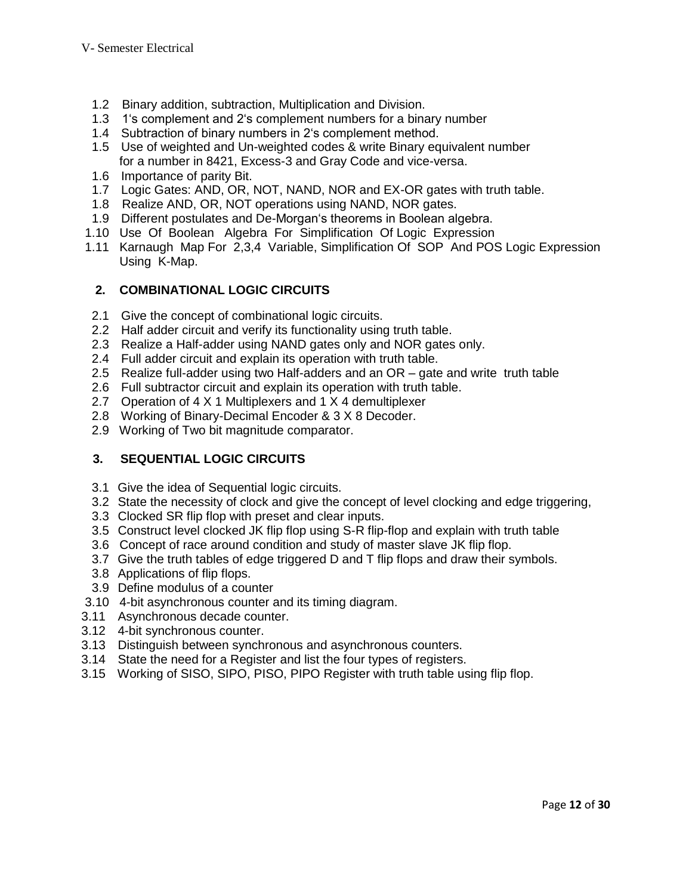- 1.2 Binary addition, subtraction, Multiplication and Division.
- 1.3 1's complement and 2's complement numbers for a binary number
- 1.4 Subtraction of binary numbers in 2's complement method.
- 1.5 Use of weighted and Un-weighted codes & write Binary equivalent number for a number in 8421, Excess-3 and Gray Code and vice-versa.
- 1.6 Importance of parity Bit.
- 1.7 Logic Gates: AND, OR, NOT, NAND, NOR and EX-OR gates with truth table.
- 1.8 Realize AND, OR, NOT operations using NAND, NOR gates.
- 1.9 Different postulates and De-Morgan's theorems in Boolean algebra.
- 1.10 Use Of Boolean Algebra For Simplification Of Logic Expression
- 1.11 Karnaugh Map For 2,3,4 Variable, Simplification Of SOP And POS Logic Expression Using K-Map.

# **2. COMBINATIONAL LOGIC CIRCUITS**

- 2.1 Give the concept of combinational logic circuits.
- 2.2 Half adder circuit and verify its functionality using truth table.
- 2.3 Realize a Half-adder using NAND gates only and NOR gates only.
- 2.4 Full adder circuit and explain its operation with truth table.
- 2.5 Realize full-adder using two Half-adders and an OR gate and write truth table
- 2.6 Full subtractor circuit and explain its operation with truth table.
- 2.7 Operation of 4 X 1 Multiplexers and 1 X 4 demultiplexer
- 2.8 Working of Binary-Decimal Encoder & 3 X 8 Decoder.
- 2.9 Working of Two bit magnitude comparator.

# **3. SEQUENTIAL LOGIC CIRCUITS**

- 3.1 Give the idea of Sequential logic circuits.
- 3.2 State the necessity of clock and give the concept of level clocking and edge triggering,
- 3.3 Clocked SR flip flop with preset and clear inputs.
- 3.5 Construct level clocked JK flip flop using S-R flip-flop and explain with truth table
- 3.6 Concept of race around condition and study of master slave JK flip flop.
- 3.7 Give the truth tables of edge triggered D and T flip flops and draw their symbols.
- 3.8 Applications of flip flops.
- 3.9 Define modulus of a counter
- 3.10 4-bit asynchronous counter and its timing diagram.
- 3.11 Asynchronous decade counter.
- 3.12 4-bit synchronous counter.
- 3.13 Distinguish between synchronous and asynchronous counters.
- 3.14 State the need for a Register and list the four types of registers.
- 3.15 Working of SISO, SIPO, PISO, PIPO Register with truth table using flip flop.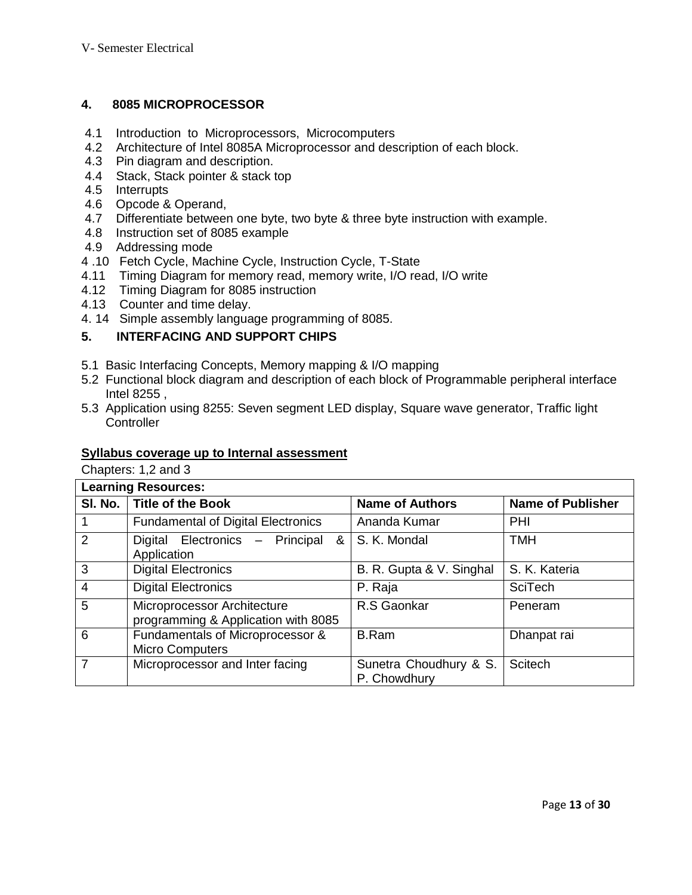### **4. 8085 MICROPROCESSOR**

- 4.1 Introduction to Microprocessors, Microcomputers
- 4.2 Architecture of Intel 8085A Microprocessor and description of each block.
- 4.3 Pin diagram and description.
- 4.4 Stack, Stack pointer & stack top
- 4.5 Interrupts
- 4.6 Opcode & Operand,
- 4.7 Differentiate between one byte, two byte & three byte instruction with example.
- 4.8 Instruction set of 8085 example
- 4.9 Addressing mode
- 4 .10 Fetch Cycle, Machine Cycle, Instruction Cycle, T-State
- 4.11 Timing Diagram for memory read, memory write, I/O read, I/O write
- 4.12 Timing Diagram for 8085 instruction
- 4.13 Counter and time delay.
- 4. 14 Simple assembly language programming of 8085.

# **5. INTERFACING AND SUPPORT CHIPS**

- 5.1 Basic Interfacing Concepts, Memory mapping & I/O mapping
- 5.2 Functional block diagram and description of each block of Programmable peripheral interface Intel 8255 ,
- 5.3 Application using 8255: Seven segment LED display, Square wave generator, Traffic light **Controller**

#### **Syllabus coverage up to Internal assessment**

Chapters: 1,2 and 3

| <b>Learning Resources:</b> |                                                                    |                                        |                          |  |
|----------------------------|--------------------------------------------------------------------|----------------------------------------|--------------------------|--|
|                            | SI. No.   Title of the Book                                        | <b>Name of Authors</b>                 | <b>Name of Publisher</b> |  |
|                            | <b>Fundamental of Digital Electronics</b>                          | Ananda Kumar                           | PHI                      |  |
| 2                          | Digital Electronics - Principal<br>&<br>Application                | S. K. Mondal                           | <b>TMH</b>               |  |
| 3                          | <b>Digital Electronics</b>                                         | B. R. Gupta & V. Singhal               | S. K. Kateria            |  |
| $\overline{4}$             | <b>Digital Electronics</b>                                         | P. Raja                                | <b>SciTech</b>           |  |
| 5                          | Microprocessor Architecture<br>programming & Application with 8085 | R.S Gaonkar                            | Peneram                  |  |
| 6                          | Fundamentals of Microprocessor &<br><b>Micro Computers</b>         | <b>B.Ram</b>                           | Dhanpat rai              |  |
| $\overline{7}$             | Microprocessor and Inter facing                                    | Sunetra Choudhury & S.<br>P. Chowdhury | Scitech                  |  |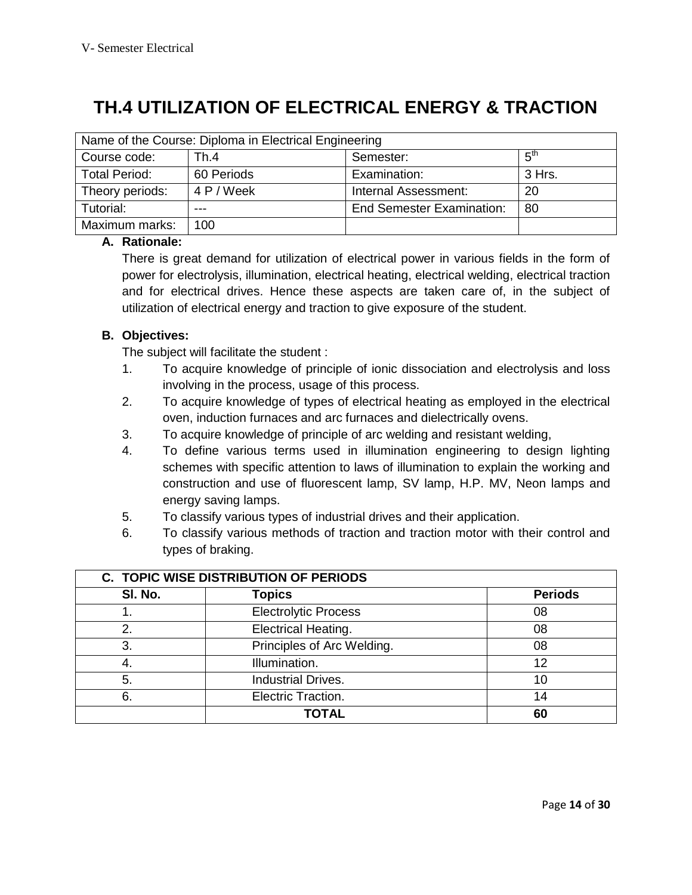# **TH.4 UTILIZATION OF ELECTRICAL ENERGY & TRACTION**

| Name of the Course: Diploma in Electrical Engineering |            |                           |        |  |  |
|-------------------------------------------------------|------------|---------------------------|--------|--|--|
| Course code:                                          | Th.4       | Semester:                 | հ™     |  |  |
| <b>Total Period:</b>                                  | 60 Periods | Examination:              | 3 Hrs. |  |  |
| Theory periods:                                       | 4 P / Week | Internal Assessment:      | 20     |  |  |
| Tutorial:                                             | ---        | End Semester Examination: | -80    |  |  |
| Maximum marks:                                        | 100        |                           |        |  |  |

# **A. Rationale:**

There is great demand for utilization of electrical power in various fields in the form of power for electrolysis, illumination, electrical heating, electrical welding, electrical traction and for electrical drives. Hence these aspects are taken care of, in the subject of utilization of electrical energy and traction to give exposure of the student.

# **B. Objectives:**

The subject will facilitate the student :

- 1. To acquire knowledge of principle of ionic dissociation and electrolysis and loss involving in the process, usage of this process.
- 2. To acquire knowledge of types of electrical heating as employed in the electrical oven, induction furnaces and arc furnaces and dielectrically ovens.
- 3. To acquire knowledge of principle of arc welding and resistant welding,
- 4. To define various terms used in illumination engineering to design lighting schemes with specific attention to laws of illumination to explain the working and construction and use of fluorescent lamp, SV lamp, H.P. MV, Neon lamps and energy saving lamps.
- 5. To classify various types of industrial drives and their application.
- 6. To classify various methods of traction and traction motor with their control and types of braking.

|         | <b>C. TOPIC WISE DISTRIBUTION OF PERIODS</b> |                |  |  |  |
|---------|----------------------------------------------|----------------|--|--|--|
| SI. No. | <b>Topics</b>                                | <b>Periods</b> |  |  |  |
|         | <b>Electrolytic Process</b>                  | 08             |  |  |  |
| 2.      | Electrical Heating.                          | 08             |  |  |  |
| 3.      | Principles of Arc Welding.                   | 08             |  |  |  |
| 4.      | Illumination.                                | 12             |  |  |  |
| 5.      | <b>Industrial Drives.</b>                    | 10             |  |  |  |
| 6.      | Electric Traction.                           | 14             |  |  |  |
|         | <b>TOTAL</b>                                 | 60             |  |  |  |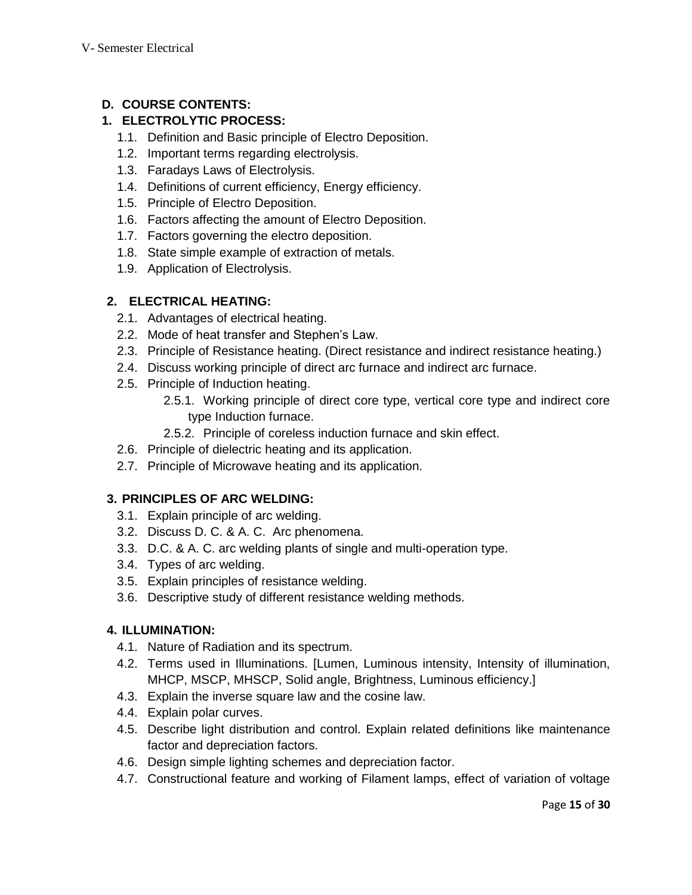# **D. COURSE CONTENTS:**

# **1. ELECTROLYTIC PROCESS:**

- 1.1. Definition and Basic principle of Electro Deposition.
- 1.2. Important terms regarding electrolysis.
- 1.3. Faradays Laws of Electrolysis.
- 1.4. Definitions of current efficiency, Energy efficiency.
- 1.5. Principle of Electro Deposition.
- 1.6. Factors affecting the amount of Electro Deposition.
- 1.7. Factors governing the electro deposition.
- 1.8. State simple example of extraction of metals.
- 1.9. Application of Electrolysis.

# **2. ELECTRICAL HEATING:**

- 2.1. Advantages of electrical heating.
- 2.2. Mode of heat transfer and Stephen's Law.
- 2.3. Principle of Resistance heating. (Direct resistance and indirect resistance heating.)
- 2.4. Discuss working principle of direct arc furnace and indirect arc furnace.
- 2.5. Principle of Induction heating.
	- 2.5.1. Working principle of direct core type, vertical core type and indirect core type Induction furnace.
	- 2.5.2. Principle of coreless induction furnace and skin effect.
- 2.6. Principle of dielectric heating and its application.
- 2.7. Principle of Microwave heating and its application.

# **3. PRINCIPLES OF ARC WELDING:**

- 3.1. Explain principle of arc welding.
- 3.2. Discuss D. C. & A. C. Arc phenomena.
- 3.3. D.C. & A. C. arc welding plants of single and multi-operation type.
- 3.4. Types of arc welding.
- 3.5. Explain principles of resistance welding.
- 3.6. Descriptive study of different resistance welding methods.

# **4. ILLUMINATION:**

- 4.1. Nature of Radiation and its spectrum.
- 4.2. Terms used in Illuminations. [Lumen, Luminous intensity, Intensity of illumination, MHCP, MSCP, MHSCP, Solid angle, Brightness, Luminous efficiency.]
- 4.3. Explain the inverse square law and the cosine law.
- 4.4. Explain polar curves.
- 4.5. Describe light distribution and control. Explain related definitions like maintenance factor and depreciation factors.
- 4.6. Design simple lighting schemes and depreciation factor.
- 4.7. Constructional feature and working of Filament lamps, effect of variation of voltage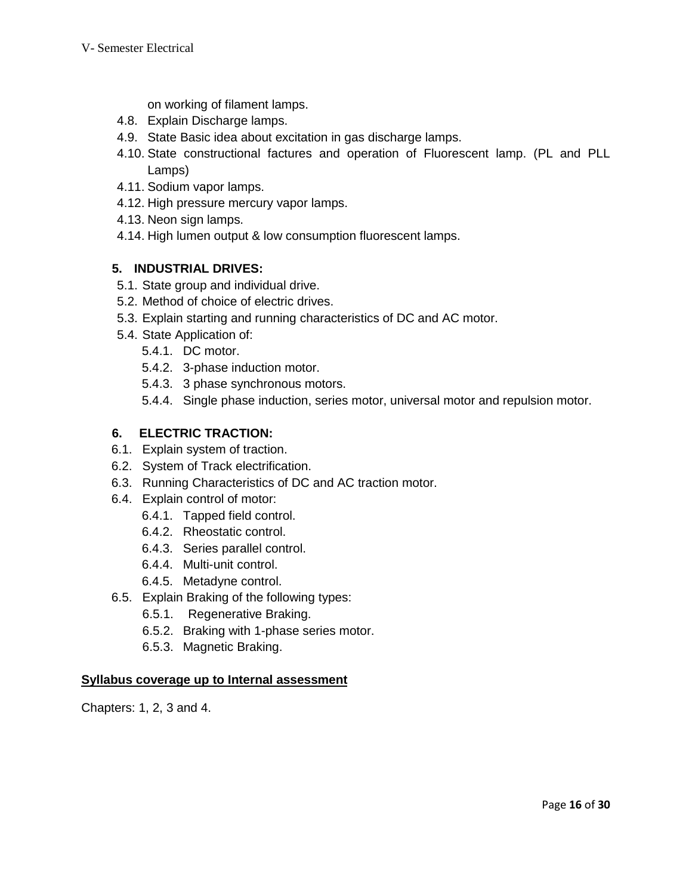on working of filament lamps.

- 4.8. Explain Discharge lamps.
- 4.9. State Basic idea about excitation in gas discharge lamps.
- 4.10. State constructional factures and operation of Fluorescent lamp. (PL and PLL Lamps)
- 4.11. Sodium vapor lamps.
- 4.12. High pressure mercury vapor lamps.
- 4.13. Neon sign lamps.
- 4.14. High lumen output & low consumption fluorescent lamps.

# **5. INDUSTRIAL DRIVES:**

- 5.1. State group and individual drive.
- 5.2. Method of choice of electric drives.
- 5.3. Explain starting and running characteristics of DC and AC motor.
- 5.4. State Application of:
	- 5.4.1. DC motor.
	- 5.4.2. 3-phase induction motor.
	- 5.4.3. 3 phase synchronous motors.
	- 5.4.4. Single phase induction, series motor, universal motor and repulsion motor.

# **6. ELECTRIC TRACTION:**

- 6.1. Explain system of traction.
- 6.2. System of Track electrification.
- 6.3. Running Characteristics of DC and AC traction motor.
- 6.4. Explain control of motor:
	- 6.4.1. Tapped field control.
	- 6.4.2. Rheostatic control.
	- 6.4.3. Series parallel control.
	- 6.4.4. Multi-unit control.
	- 6.4.5. Metadyne control.
- 6.5. Explain Braking of the following types:
	- 6.5.1. Regenerative Braking.
	- 6.5.2. Braking with 1-phase series motor.
	- 6.5.3. Magnetic Braking.

### **Syllabus coverage up to Internal assessment**

Chapters: 1, 2, 3 and 4.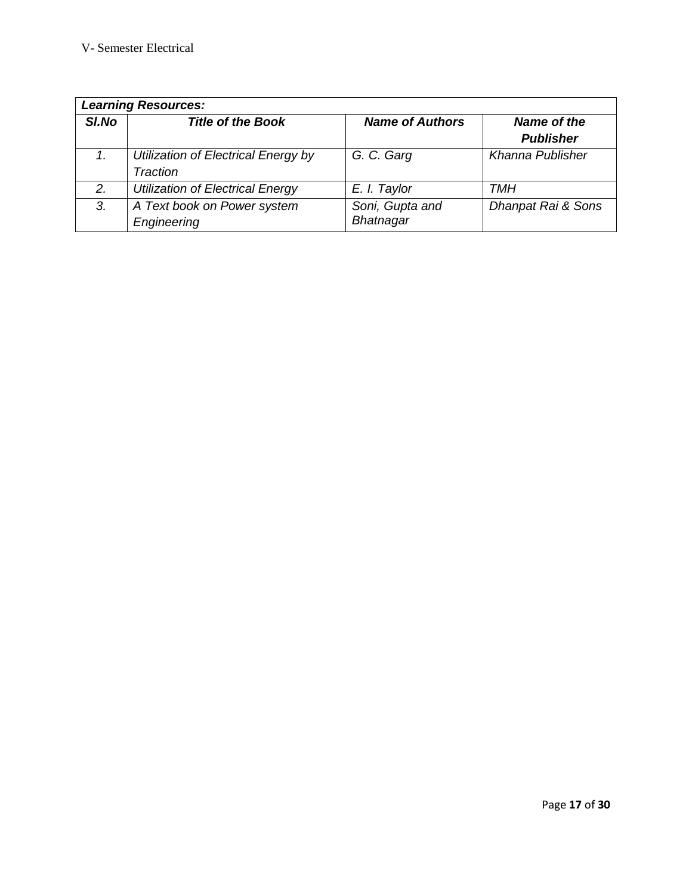| <b>Learning Resources:</b> |                                                 |                                     |                                 |  |
|----------------------------|-------------------------------------------------|-------------------------------------|---------------------------------|--|
| SI.No                      | <b>Title of the Book</b>                        | <b>Name of Authors</b>              | Name of the<br><b>Publisher</b> |  |
|                            | Utilization of Electrical Energy by<br>Traction | G. C. Garg                          | Khanna Publisher                |  |
| 2.                         | <b>Utilization of Electrical Energy</b>         | E. I. Taylor                        | TMH                             |  |
| 3.                         | A Text book on Power system<br>Engineering      | Soni, Gupta and<br><b>Bhatnagar</b> | Dhanpat Rai & Sons              |  |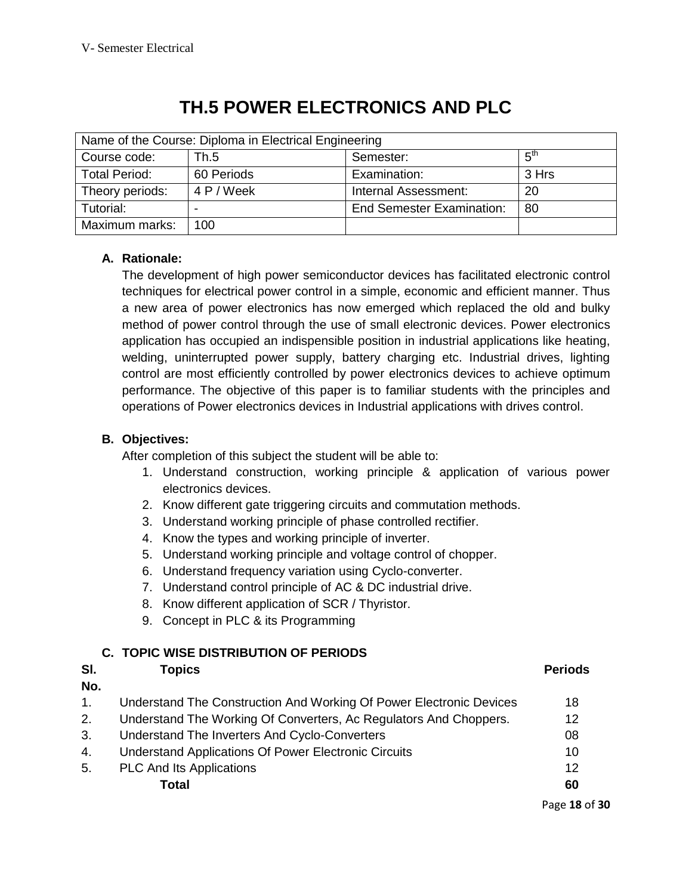| Name of the Course: Diploma in Electrical Engineering |            |                                  |                 |
|-------------------------------------------------------|------------|----------------------------------|-----------------|
| Course code:                                          | Th.5       | Semester:                        | $5^{\text{th}}$ |
| <b>Total Period:</b>                                  | 60 Periods | Examination:                     | 3 Hrs           |
| Theory periods:                                       | 4 P / Week | Internal Assessment:             | 20              |
| Tutorial:                                             |            | <b>End Semester Examination:</b> | -80             |
| Maximum marks:                                        | 100        |                                  |                 |

# **TH.5 POWER ELECTRONICS AND PLC**

# **A. Rationale:**

The development of high power semiconductor devices has facilitated electronic control techniques for electrical power control in a simple, economic and efficient manner. Thus a new area of power electronics has now emerged which replaced the old and bulky method of power control through the use of small electronic devices. Power electronics application has occupied an indispensible position in industrial applications like heating, welding, uninterrupted power supply, battery charging etc. Industrial drives, lighting control are most efficiently controlled by power electronics devices to achieve optimum performance. The objective of this paper is to familiar students with the principles and operations of Power electronics devices in Industrial applications with drives control.

# **B. Objectives:**

After completion of this subject the student will be able to:

- 1. Understand construction, working principle & application of various power electronics devices.
- 2. Know different gate triggering circuits and commutation methods.
- 3. Understand working principle of phase controlled rectifier.
- 4. Know the types and working principle of inverter.
- 5. Understand working principle and voltage control of chopper.
- 6. Understand frequency variation using Cyclo-converter.
- 7. Understand control principle of AC & DC industrial drive.
- 8. Know different application of SCR / Thyristor.
- 9. Concept in PLC & its Programming

# **C. TOPIC WISE DISTRIBUTION OF PERIODS**

#### **Sl. No. Topics Periods** 1. Understand The Construction And Working Of Power Electronic Devices 18 2. Understand The Working Of Converters, Ac Regulators And Choppers. 12 3. Understand The Inverters And Cyclo-Converters 08 4. Understand Applications Of Power Electronic Circuits 10 5. PLC And Its Applications 12 **Total 60**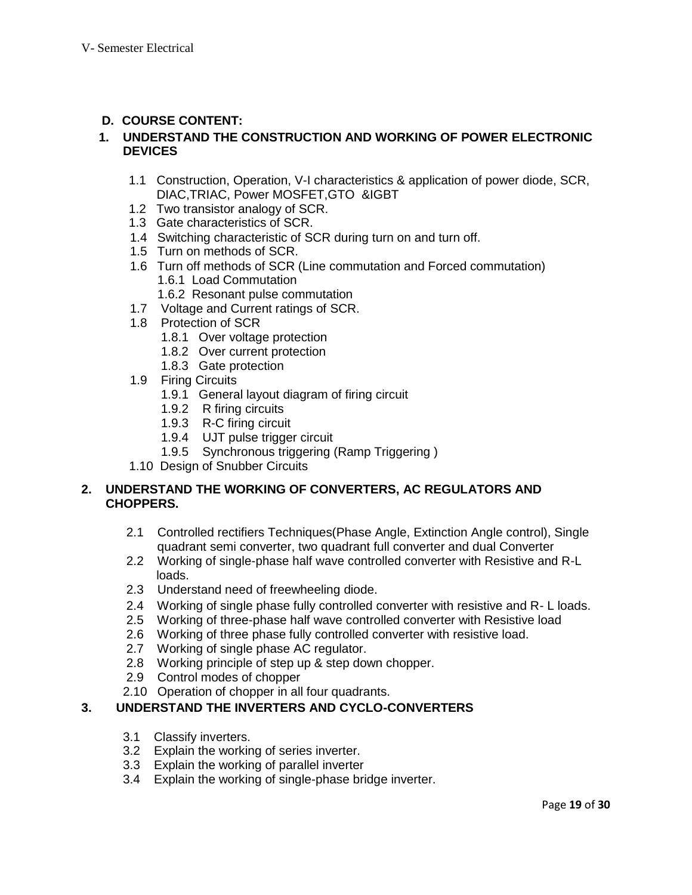# **D. COURSE CONTENT:**

#### **1. UNDERSTAND THE CONSTRUCTION AND WORKING OF POWER ELECTRONIC DEVICES**

- 1.1 Construction, Operation, V-I characteristics & application of power diode, SCR, DIAC,TRIAC, Power MOSFET,GTO &IGBT
- 1.2 Two transistor analogy of SCR.
- 1.3 Gate characteristics of SCR.
- 1.4 Switching characteristic of SCR during turn on and turn off.
- 1.5 Turn on methods of SCR.
- 1.6 Turn off methods of SCR (Line commutation and Forced commutation) 1.6.1 Load Commutation
	- 1.6.2 Resonant pulse commutation
- 1.7 Voltage and Current ratings of SCR.
- 1.8 Protection of SCR
	- 1.8.1 Over voltage protection
	- 1.8.2 Over current protection
	- 1.8.3 Gate protection
	- 1.9 Firing Circuits
		- 1.9.1 General layout diagram of firing circuit
		- 1.9.2 R firing circuits
		- 1.9.3 R-C firing circuit
		- 1.9.4 UJT pulse trigger circuit
		- 1.9.5 Synchronous triggering (Ramp Triggering )
	- 1.10 Design of Snubber Circuits

### **2. UNDERSTAND THE WORKING OF CONVERTERS, AC REGULATORS AND CHOPPERS.**

- 2.1 Controlled rectifiers Techniques(Phase Angle, Extinction Angle control), Single quadrant semi converter, two quadrant full converter and dual Converter
- 2.2 Working of single-phase half wave controlled converter with Resistive and R-L loads.
- 2.3 Understand need of freewheeling diode.
- 2.4 Working of single phase fully controlled converter with resistive and R- L loads.
- 2.5 Working of three-phase half wave controlled converter with Resistive load
- 2.6 Working of three phase fully controlled converter with resistive load.
- 2.7 Working of single phase AC regulator.
- 2.8 Working principle of step up & step down chopper.
- 2.9 Control modes of chopper
- 2.10 Operation of chopper in all four quadrants.

### **3. UNDERSTAND THE INVERTERS AND CYCLO-CONVERTERS**

- 3.1 Classify inverters.
- 3.2 Explain the working of series inverter.
- 3.3 Explain the working of parallel inverter
- 3.4 Explain the working of single-phase bridge inverter.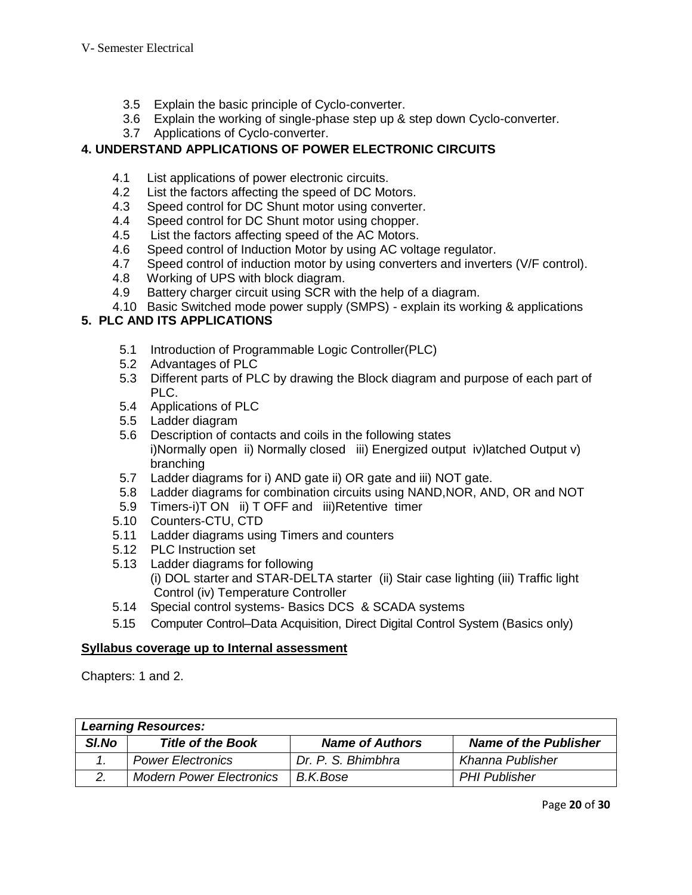- 3.5 Explain the basic principle of Cyclo-converter.
- 3.6 Explain the working of single-phase step up & step down Cyclo-converter.
- 3.7 Applications of Cyclo-converter.

# **4. UNDERSTAND APPLICATIONS OF POWER ELECTRONIC CIRCUITS**

- 4.1 List applications of power electronic circuits.
- 4.2 List the factors affecting the speed of DC Motors.
- 4.3 Speed control for DC Shunt motor using converter.
- 4.4 Speed control for DC Shunt motor using chopper.
- 4.5 List the factors affecting speed of the AC Motors.
- 4.6 Speed control of Induction Motor by using AC voltage regulator.
- 4.7 Speed control of induction motor by using converters and inverters (V/F control).
- 4.8 Working of UPS with block diagram.
- 4.9 Battery charger circuit using SCR with the help of a diagram.
- 4.10 Basic Switched mode power supply (SMPS) explain its working & applications

# **5. PLC AND ITS APPLICATIONS**

- 5.1 Introduction of Programmable Logic Controller(PLC)
- 5.2 Advantages of PLC
- 5.3 Different parts of PLC by drawing the Block diagram and purpose of each part of PLC.
- 5.4 Applications of PLC
- 5.5 Ladder diagram
- 5.6 Description of contacts and coils in the following states
	- i)Normally open ii) Normally closed iii) Energized output iv)latched Output v) branching
- 5.7 Ladder diagrams for i) AND gate ii) OR gate and iii) NOT gate.
- 5.8 Ladder diagrams for combination circuits using NAND,NOR, AND, OR and NOT
- 5.9 Timers-i)T ON ii) T OFF and iii)Retentive timer
- 5.10 Counters-CTU, CTD
- 5.11 Ladder diagrams using Timers and counters
- 5.12 PLC Instruction set
- 5.13 Ladder diagrams for following (i) DOL starter and STAR-DELTA starter (ii) Stair case lighting (iii) Traffic light Control (iv) Temperature Controller
- 5.14 Special control systems- Basics DCS & SCADA systems
- 5.15 Computer Control–Data Acquisition, Direct Digital Control System (Basics only)

### **Syllabus coverage up to Internal assessment**

Chapters: 1 and 2.

| <b>Learning Resources:</b> |                                 |                        |                              |  |
|----------------------------|---------------------------------|------------------------|------------------------------|--|
| SI.No                      | <b>Title of the Book</b>        | <b>Name of Authors</b> | <b>Name of the Publisher</b> |  |
|                            | <b>Power Electronics</b>        | Dr. P. S. Bhimbhra     | Khanna Publisher             |  |
|                            | <b>Modern Power Electronics</b> | B.K.Bose               | <b>PHI Publisher</b>         |  |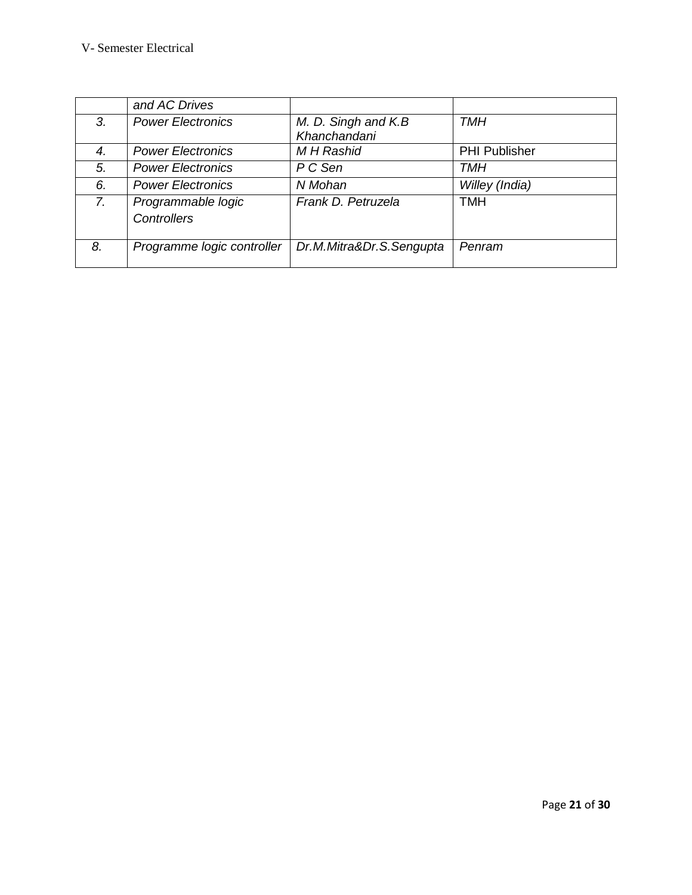|    | and AC Drives                            |                                     |                      |
|----|------------------------------------------|-------------------------------------|----------------------|
| 3. | <b>Power Electronics</b>                 | M. D. Singh and K.B<br>Khanchandani | TMH                  |
| 4. | <b>Power Electronics</b>                 | <b>MH</b> Rashid                    | <b>PHI Publisher</b> |
| 5. | <b>Power Electronics</b>                 | P C Sen                             | TMH                  |
| 6. | <b>Power Electronics</b>                 | N Mohan                             | Willey (India)       |
| 7. | Programmable logic<br><b>Controllers</b> | Frank D. Petruzela                  | <b>TMH</b>           |
| 8. | Programme logic controller               | Dr.M.Mitra&Dr.S.Sengupta            | Penram               |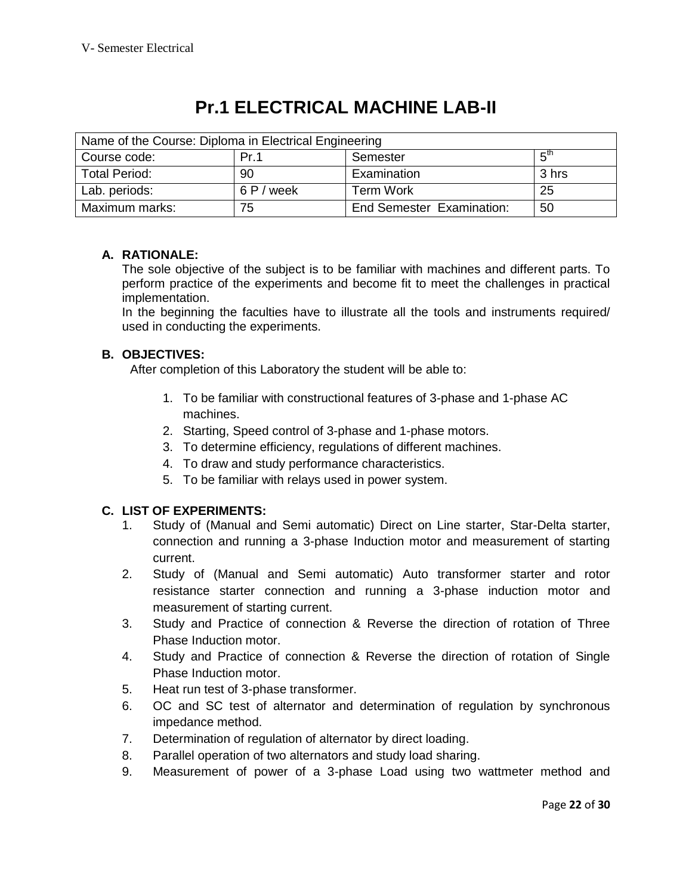# **Pr.1 ELECTRICAL MACHINE LAB-II**

| Name of the Course: Diploma in Electrical Engineering |            |                           |                 |
|-------------------------------------------------------|------------|---------------------------|-----------------|
| Course code:                                          | Pr.1       | Semester                  | ς <sup>tη</sup> |
| <b>Total Period:</b>                                  | 90         | Examination               | 3 hrs           |
| Lab. periods:                                         | 6 P / week | <b>Term Work</b>          | 25              |
| Maximum marks:                                        | 75         | End Semester Examination: | 50              |

# **A. RATIONALE:**

The sole objective of the subject is to be familiar with machines and different parts. To perform practice of the experiments and become fit to meet the challenges in practical implementation.

In the beginning the faculties have to illustrate all the tools and instruments required/ used in conducting the experiments.

# **B. OBJECTIVES:**

After completion of this Laboratory the student will be able to:

- 1. To be familiar with constructional features of 3-phase and 1-phase AC machines.
- 2. Starting, Speed control of 3-phase and 1-phase motors.
- 3. To determine efficiency, regulations of different machines.
- 4. To draw and study performance characteristics.
- 5. To be familiar with relays used in power system.

# **C. LIST OF EXPERIMENTS:**

- 1. Study of (Manual and Semi automatic) Direct on Line starter, Star-Delta starter, connection and running a 3-phase Induction motor and measurement of starting current.
- 2. Study of (Manual and Semi automatic) Auto transformer starter and rotor resistance starter connection and running a 3-phase induction motor and measurement of starting current.
- 3. Study and Practice of connection & Reverse the direction of rotation of Three Phase Induction motor.
- 4. Study and Practice of connection & Reverse the direction of rotation of Single Phase Induction motor.
- 5. Heat run test of 3-phase transformer.
- 6. OC and SC test of alternator and determination of regulation by synchronous impedance method.
- 7. Determination of regulation of alternator by direct loading.
- 8. Parallel operation of two alternators and study load sharing.
- 9. Measurement of power of a 3-phase Load using two wattmeter method and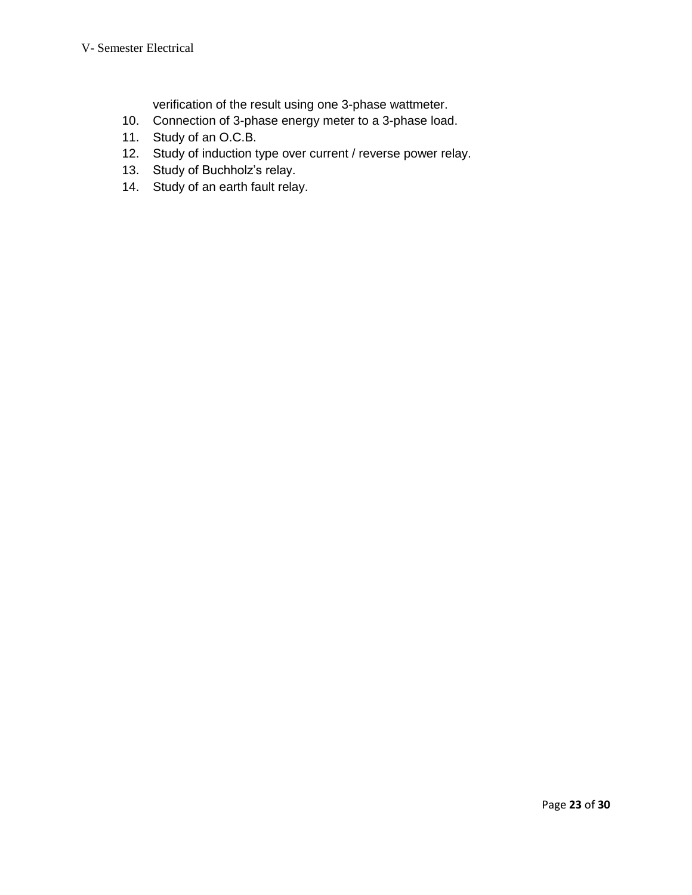verification of the result using one 3-phase wattmeter.

- 10. Connection of 3-phase energy meter to a 3-phase load.
- 11. Study of an O.C.B.
- 12. Study of induction type over current / reverse power relay.
- 13. Study of Buchholz's relay.
- 14. Study of an earth fault relay.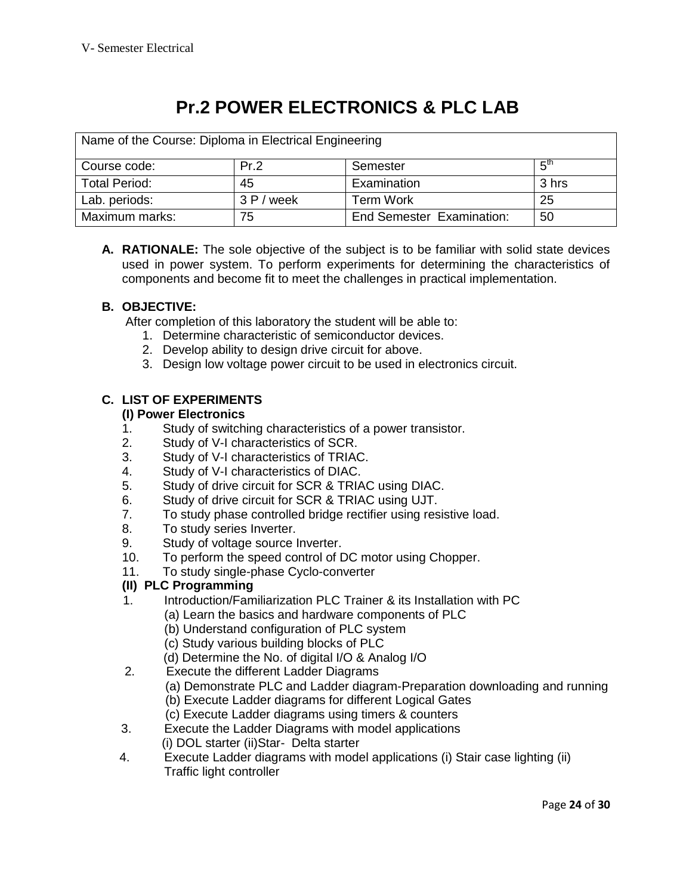# **Pr.2 POWER ELECTRONICS & PLC LAB**

| Name of the Course: Diploma in Electrical Engineering |            |                                  |                 |
|-------------------------------------------------------|------------|----------------------------------|-----------------|
| Course code:                                          | Pr.2       | Semester                         | $5^{\text{th}}$ |
| <b>Total Period:</b>                                  | 45         | Examination                      | 3 hrs           |
| Lab. periods:                                         | 3 P / week | <b>Term Work</b>                 | 25              |
| Maximum marks:                                        | 75         | <b>End Semester Examination:</b> | 50              |

**A. RATIONALE:** The sole objective of the subject is to be familiar with solid state devices used in power system. To perform experiments for determining the characteristics of components and become fit to meet the challenges in practical implementation.

# **B. OBJECTIVE:**

After completion of this laboratory the student will be able to:

- 1. Determine characteristic of semiconductor devices.
- 2. Develop ability to design drive circuit for above.
- 3. Design low voltage power circuit to be used in electronics circuit.

# **C. LIST OF EXPERIMENTS**

#### **(I) Power Electronics**

- 1. Study of switching characteristics of a power transistor.
- 2. Study of V-I characteristics of SCR.
- 3. Study of V-I characteristics of TRIAC.
- 4. Study of V-I characteristics of DIAC.
- 5. Study of drive circuit for SCR & TRIAC using DIAC.
- 6. Study of drive circuit for SCR & TRIAC using UJT.
- 7. To study phase controlled bridge rectifier using resistive load.
- 8. To study series Inverter.
- 9. Study of voltage source Inverter.
- 10. To perform the speed control of DC motor using Chopper.
- 11. To study single-phase Cyclo-converter

### **(II) PLC Programming**

- 1.Introduction/Familiarization PLC Trainer & its Installation with PC
	- (a) Learn the basics and hardware components of PLC
	- (b) Understand configuration of PLC system
	- (c) Study various building blocks of PLC
	- (d) Determine the No. of digital I/O & Analog I/O
- 2. Execute the different Ladder Diagrams
	- (a) Demonstrate PLC and Ladder diagram-Preparation downloading and running
	- (b) Execute Ladder diagrams for different Logical Gates
	- (c) Execute Ladder diagrams using timers & counters
- 3. Execute the Ladder Diagrams with model applications (i) DOL starter (ii)Star- Delta starter
- 4. Execute Ladder diagrams with model applications (i) Stair case lighting (ii) Traffic light controller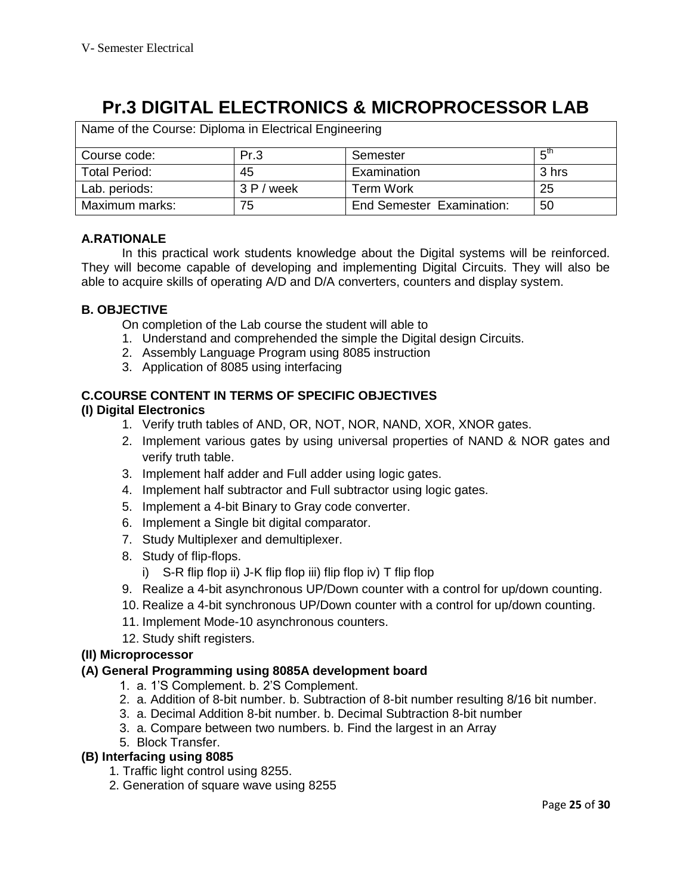# **Pr.3 DIGITAL ELECTRONICS & MICROPROCESSOR LAB**

| Name of the Course: Diploma in Electrical Engineering |             |                           |                 |
|-------------------------------------------------------|-------------|---------------------------|-----------------|
| Course code:                                          | Pr.3        | Semester                  | $5^{\text{th}}$ |
| <b>Total Period:</b>                                  | 45          | Examination               | 3 hrs           |
| Lab. periods:                                         | 3P/<br>week | <b>Term Work</b>          | 25              |
| Maximum marks:                                        | 75          | End Semester Examination: | 50              |

# **A.RATIONALE**

In this practical work students knowledge about the Digital systems will be reinforced. They will become capable of developing and implementing Digital Circuits. They will also be able to acquire skills of operating A/D and D/A converters, counters and display system.

# **B. OBJECTIVE**

On completion of the Lab course the student will able to

- 1. Understand and comprehended the simple the Digital design Circuits.
- 2. Assembly Language Program using 8085 instruction
- 3. Application of 8085 using interfacing

### **C.COURSE CONTENT IN TERMS OF SPECIFIC OBJECTIVES**

### **(I) Digital Electronics**

- 1. Verify truth tables of AND, OR, NOT, NOR, NAND, XOR, XNOR gates.
- 2. Implement various gates by using universal properties of NAND & NOR gates and verify truth table.
- 3. Implement half adder and Full adder using logic gates.
- 4. Implement half subtractor and Full subtractor using logic gates.
- 5. Implement a 4-bit Binary to Gray code converter.
- 6. Implement a Single bit digital comparator.
- 7. Study Multiplexer and demultiplexer.
- 8. Study of flip-flops.
	- i) S-R flip flop ii) J-K flip flop iii) flip flop iv) T flip flop
- 9. Realize a 4-bit asynchronous UP/Down counter with a control for up/down counting.
- 10. Realize a 4-bit synchronous UP/Down counter with a control for up/down counting.
- 11. Implement Mode-10 asynchronous counters.
- 12. Study shift registers.

### **(II) Microprocessor**

### **(A) General Programming using 8085A development board**

- 1. a. 1'S Complement. b. 2'S Complement.
- 2. a. Addition of 8-bit number. b. Subtraction of 8-bit number resulting 8/16 bit number.
- 3. a. Decimal Addition 8-bit number. b. Decimal Subtraction 8-bit number
- 3. a. Compare between two numbers. b. Find the largest in an Array
- 5. Block Transfer.

### **(B) Interfacing using 8085**

- 1. Traffic light control using 8255.
- 2. Generation of square wave using 8255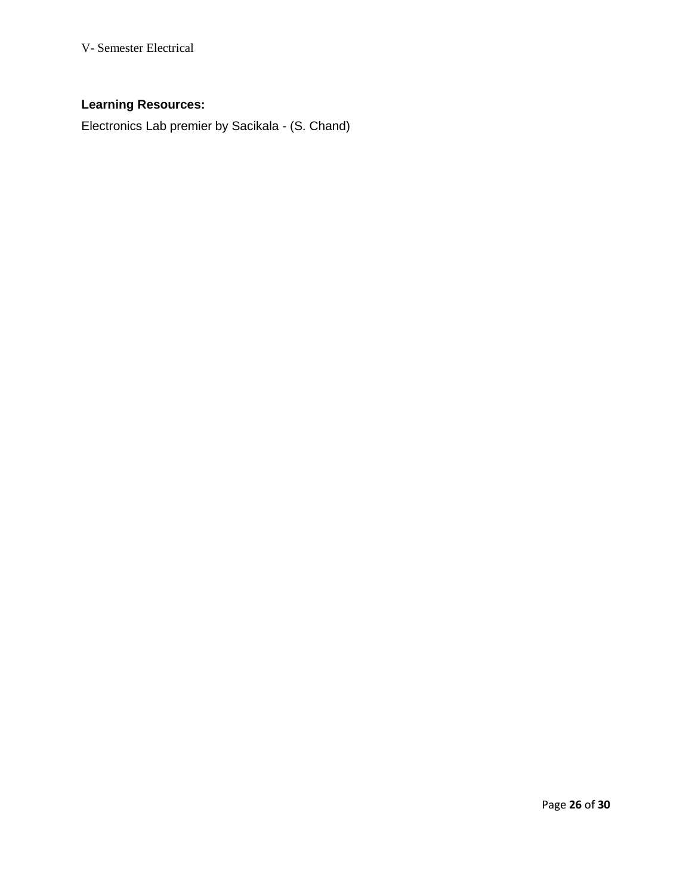# **Learning Resources:**

Electronics Lab premier by Sacikala - (S. Chand)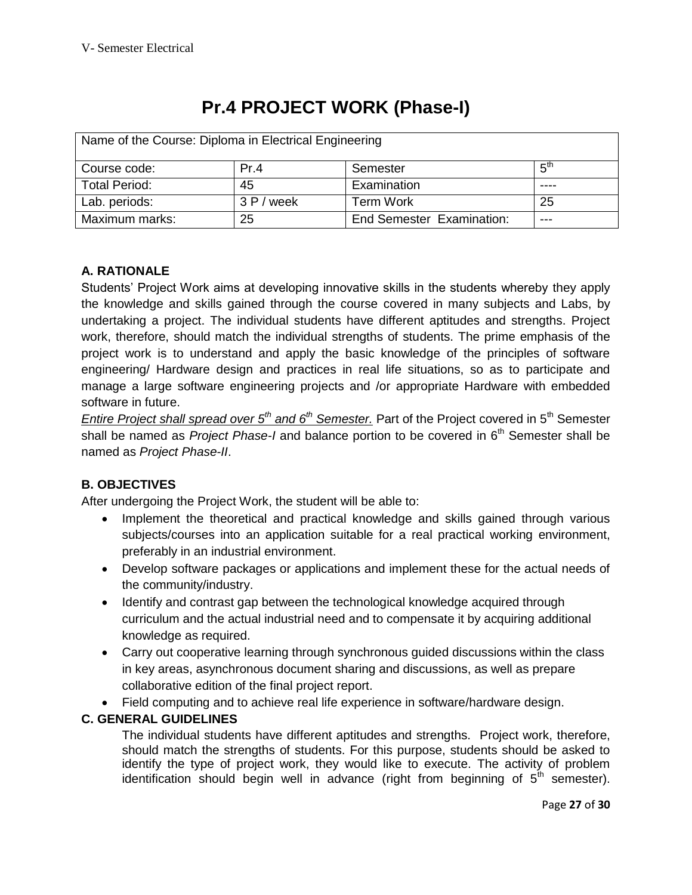# **Pr.4 PROJECT WORK (Phase-I)**

| Name of the Course: Diploma in Electrical Engineering |            |                                  |                 |
|-------------------------------------------------------|------------|----------------------------------|-----------------|
| Course code:                                          | Pr.4       | Semester                         | 5 <sup>th</sup> |
| <b>Total Period:</b>                                  | 45         | Examination                      |                 |
| Lab. periods:                                         | 3 P / week | <b>Term Work</b>                 | 25              |
| Maximum marks:                                        | 25         | <b>End Semester Examination:</b> | ---             |

# **A. RATIONALE**

Students' Project Work aims at developing innovative skills in the students whereby they apply the knowledge and skills gained through the course covered in many subjects and Labs, by undertaking a project. The individual students have different aptitudes and strengths. Project work, therefore, should match the individual strengths of students. The prime emphasis of the project work is to understand and apply the basic knowledge of the principles of software engineering/ Hardware design and practices in real life situations, so as to participate and manage a large software engineering projects and /or appropriate Hardware with embedded software in future.

*Entire Project shall spread over 5th and 6th Semester.* Part of the Project covered in 5th Semester shall be named as *Project Phase-I* and balance portion to be covered in 6<sup>th</sup> Semester shall be named as *Project Phase-II*.

# **B. OBJECTIVES**

After undergoing the Project Work, the student will be able to:

- Implement the theoretical and practical knowledge and skills gained through various subjects/courses into an application suitable for a real practical working environment, preferably in an industrial environment.
- Develop software packages or applications and implement these for the actual needs of the community/industry.
- Identify and contrast gap between the technological knowledge acquired through curriculum and the actual industrial need and to compensate it by acquiring additional knowledge as required.
- Carry out cooperative learning through synchronous guided discussions within the class in key areas, asynchronous document sharing and discussions, as well as prepare collaborative edition of the final project report.
- Field computing and to achieve real life experience in software/hardware design.

# **C. GENERAL GUIDELINES**

The individual students have different aptitudes and strengths. Project work, therefore, should match the strengths of students. For this purpose, students should be asked to identify the type of project work, they would like to execute. The activity of problem identification should begin well in advance (right from beginning of  $5<sup>th</sup>$  semester).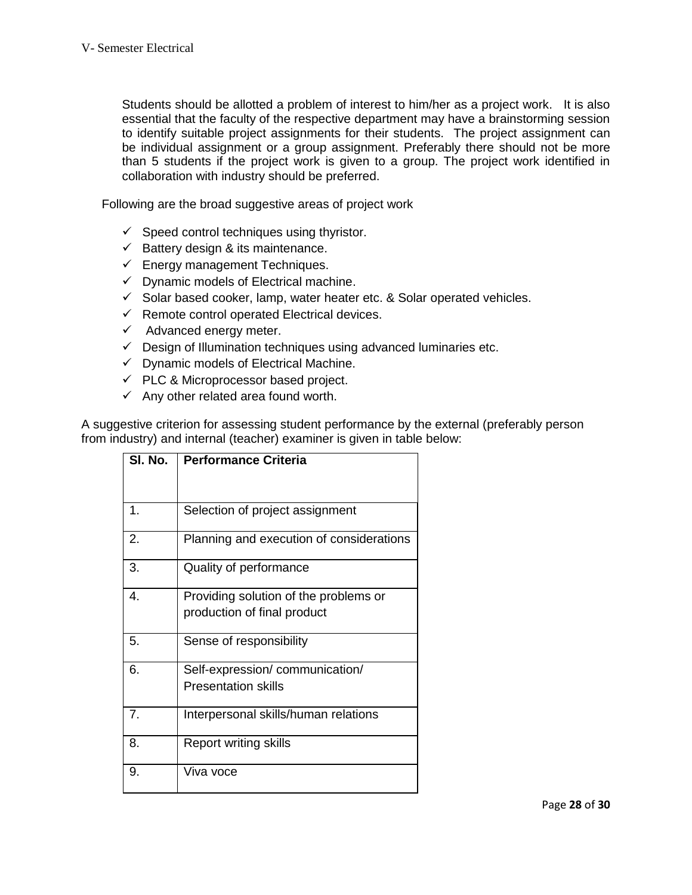Students should be allotted a problem of interest to him/her as a project work. It is also essential that the faculty of the respective department may have a brainstorming session to identify suitable project assignments for their students. The project assignment can be individual assignment or a group assignment. Preferably there should not be more than 5 students if the project work is given to a group. The project work identified in collaboration with industry should be preferred.

Following are the broad suggestive areas of project work

- $\checkmark$  Speed control techniques using thyristor.
- $\checkmark$  Battery design & its maintenance.
- $\checkmark$  Energy management Techniques.
- $\checkmark$  Dynamic models of Electrical machine.
- $\checkmark$  Solar based cooker, lamp, water heater etc. & Solar operated vehicles.
- $\checkmark$  Remote control operated Electrical devices.
- $\checkmark$  Advanced energy meter.
- $\checkmark$  Design of Illumination techniques using advanced luminaries etc.
- $\checkmark$  Dynamic models of Electrical Machine.
- $\checkmark$  PLC & Microprocessor based project.
- $\checkmark$  Any other related area found worth.

A suggestive criterion for assessing student performance by the external (preferably person from industry) and internal (teacher) examiner is given in table below:

| SI. No. | <b>Performance Criteria</b>              |
|---------|------------------------------------------|
|         |                                          |
| 1.      | Selection of project assignment          |
| 2.      | Planning and execution of considerations |
| 3.      | Quality of performance                   |
| 4.      | Providing solution of the problems or    |
|         | production of final product              |
| 5.      | Sense of responsibility                  |
| 6.      | Self-expression/communication/           |
|         | <b>Presentation skills</b>               |
| 7.      | Interpersonal skills/human relations     |
| 8.      | <b>Report writing skills</b>             |
| 9.      | Viva voce                                |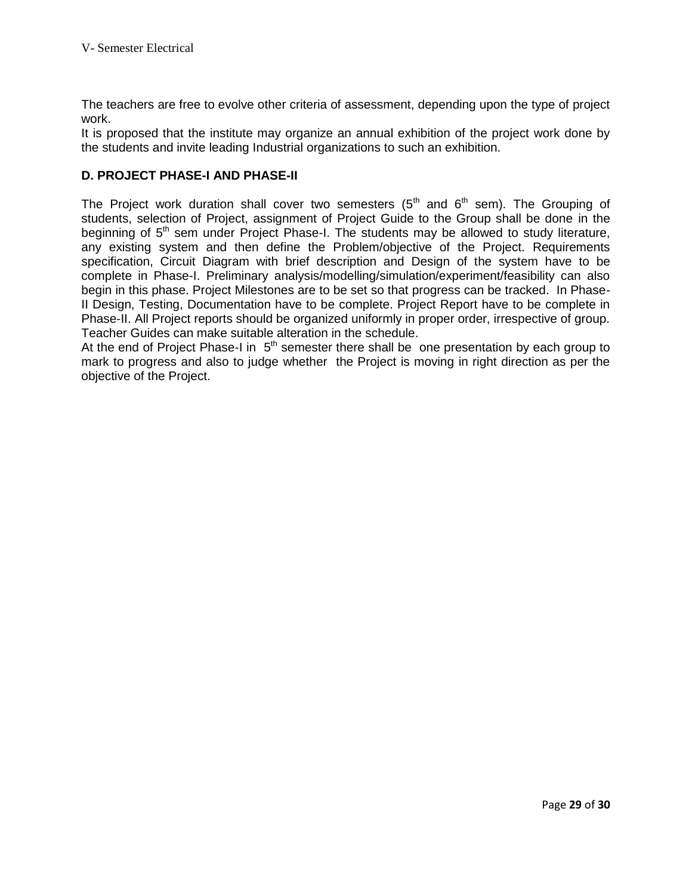The teachers are free to evolve other criteria of assessment, depending upon the type of project work.

It is proposed that the institute may organize an annual exhibition of the project work done by the students and invite leading Industrial organizations to such an exhibition.

# **D. PROJECT PHASE-I AND PHASE-II**

The Project work duration shall cover two semesters  $(5<sup>th</sup>$  and  $6<sup>th</sup>$  sem). The Grouping of students, selection of Project, assignment of Project Guide to the Group shall be done in the beginning of  $5<sup>th</sup>$  sem under Project Phase-I. The students may be allowed to study literature, any existing system and then define the Problem/objective of the Project. Requirements specification, Circuit Diagram with brief description and Design of the system have to be complete in Phase-I. Preliminary analysis/modelling/simulation/experiment/feasibility can also begin in this phase. Project Milestones are to be set so that progress can be tracked. In Phase-II Design, Testing, Documentation have to be complete. Project Report have to be complete in Phase-II. All Project reports should be organized uniformly in proper order, irrespective of group. Teacher Guides can make suitable alteration in the schedule.

At the end of Project Phase-I in  $5<sup>th</sup>$  semester there shall be one presentation by each group to mark to progress and also to judge whether the Project is moving in right direction as per the objective of the Project.